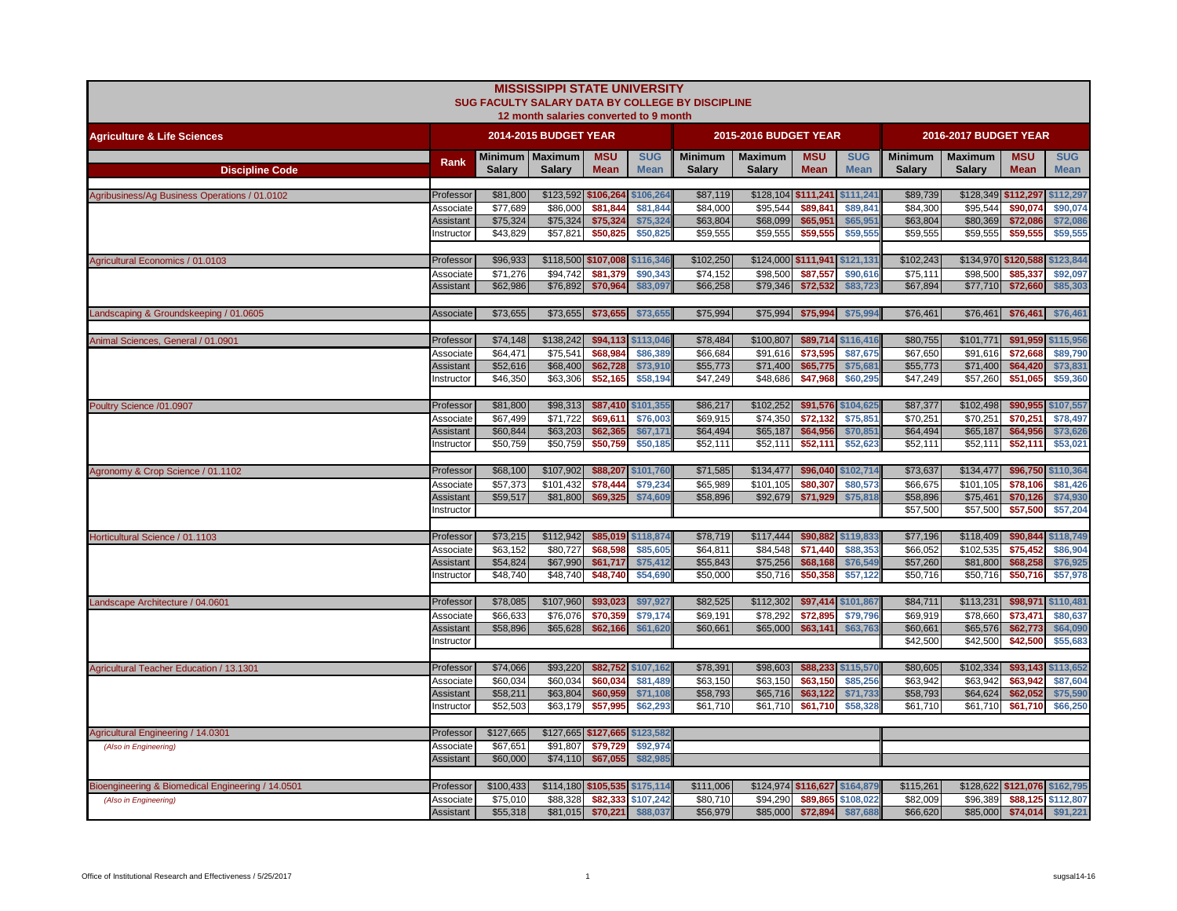|                                                   |                         |                      | <b>MISSISSIPPI STATE UNIVERSITY</b><br>12 month salaries converted to 9 month |                           |                           | SUG FACULTY SALARY DATA BY COLLEGE BY DISCIPLINE |                                 |                               |                                |                                 |                                 |                               |                           |
|---------------------------------------------------|-------------------------|----------------------|-------------------------------------------------------------------------------|---------------------------|---------------------------|--------------------------------------------------|---------------------------------|-------------------------------|--------------------------------|---------------------------------|---------------------------------|-------------------------------|---------------------------|
| <b>Agriculture &amp; Life Sciences</b>            |                         |                      | 2014-2015 BUDGET YEAR                                                         |                           |                           |                                                  | 2015-2016 BUDGET YEAR           |                               |                                |                                 | 2016-2017 BUDGET YEAR           |                               |                           |
| <b>Discipline Code</b>                            | Rank                    | <b>Salary</b>        | Minimum   Maximum<br><b>Salary</b>                                            | <b>MSU</b><br><b>Mean</b> | <b>SUG</b><br><b>Mean</b> | <b>Minimum</b><br><b>Salary</b>                  | <b>Maximum</b><br><b>Salary</b> | <b>MSU</b><br><b>Mean</b>     | <b>SUG</b><br><b>Mean</b>      | <b>Minimum</b><br><b>Salary</b> | <b>Maximum</b><br><b>Salary</b> | <b>MSU</b><br><b>Mean</b>     | <b>SUG</b><br><b>Mean</b> |
| Agribusiness/Ag Business Operations / 01.0102     | Professor               | \$81,800             | \$123,592 \$106,264                                                           |                           | \$106,264                 | \$87,119                                         | \$128,104 \$111,241 \$111,241   |                               |                                | \$89,739                        | \$128,349 \$112,297             |                               | \$112,297                 |
|                                                   | Associate               | \$77,689             | \$86,000                                                                      | \$81.844                  | \$81.844                  | \$84.000                                         | \$95,544                        | \$89.841                      | \$89,841                       | \$84,300                        | \$95,544                        | \$90,074                      | \$90,074                  |
|                                                   | Assistant<br>Instructor | \$75,324<br>\$43,829 | \$75,324<br>\$57,821                                                          | \$75,324<br>\$50,825      | \$75,32<br>\$50,825       | \$63,804<br>\$59,555                             | \$68,099<br>\$59,555            | \$65,951<br>\$59,555          | \$65,951<br>\$59,555           | \$63,804<br>\$59,555            | \$80,369<br>\$59,555            | \$72,086<br>\$59,555          | \$72,086<br>\$59,555      |
|                                                   |                         |                      |                                                                               |                           |                           |                                                  |                                 |                               |                                |                                 |                                 |                               |                           |
| Agricultural Economics / 01.0103                  | Professor               | \$96,933             | \$118,500 \$107,008                                                           |                           | \$116,346                 | \$102,250                                        |                                 | \$124,000 \$111,941 \$121,131 |                                | \$102,243                       | \$134,970 \$120,588             |                               | \$123,844                 |
|                                                   | Associate               | \$71,276             | \$94,742                                                                      | \$81,379                  | \$90,343                  | \$74,152                                         | \$98,500                        | \$87,557                      | \$90,616                       | \$75,111                        | \$98,500                        | \$85,337                      | \$92,097                  |
|                                                   | <b>Assistant</b>        | \$62,986             | \$76,892                                                                      | \$70,964                  | \$83,097                  | \$66,258                                         | \$79,346                        | \$72,532                      | \$83,723                       | \$67,894                        | \$77,710                        | \$72,660                      | \$85,303                  |
| Landscaping & Groundskeeping / 01.0605            | <b>Associate</b>        | \$73,655             | \$73,655                                                                      | \$73,655                  | \$73,655                  | \$75,994                                         | \$75,994                        | \$75,994                      | \$75,994                       | \$76,461                        | \$76,461                        | \$76,461                      | \$76,461                  |
| Animal Sciences, General / 01.0901                | Professor               | \$74,148             | \$138,242                                                                     | \$94,113                  | \$113,046                 | \$78,484                                         | \$100,807                       |                               | \$89,714 \$116,416             | \$80,755                        | \$101,771                       | \$91,959                      | \$115,956                 |
|                                                   | Associate               | \$64,471             | \$75,541                                                                      | \$68,984                  | \$86,389                  | \$66,684                                         | \$91,616                        | \$73,595                      | \$87,675                       | \$67,650                        | \$91,616                        | \$72,668                      | \$89,790                  |
|                                                   | Assistant               | \$52,616             | \$68,400                                                                      | \$62,728                  | \$73,910                  | \$55,773                                         | \$71,400                        | \$65,775                      | \$75,681                       | \$55,773                        | \$71,400                        | \$64,420                      | \$73,831                  |
|                                                   | nstructor               | \$46,350             | \$63,306                                                                      | \$52,165                  | \$58,194                  | \$47,249                                         | \$48,686                        | \$47,968                      | \$60,295                       | \$47,249                        | \$57,260                        | \$51,065                      | \$59,360                  |
| Poultry Science /01.0907                          | Professor               | \$81,800             | \$98,313                                                                      |                           | \$87,410 \$101,355        | \$86,217                                         | \$102,252                       |                               | \$91,576 \$104,625             | \$87,377                        | \$102,498                       | \$90,955                      | \$107,557                 |
|                                                   | Associate               | \$67,499             | \$71,722                                                                      | \$69,611                  | \$76,003                  | \$69,915                                         | \$74,350                        | \$72,132                      | \$75,851                       | \$70,251                        | \$70,251                        | \$70,251                      | \$78,497                  |
|                                                   | Assistant               | \$60,844             | \$63,203                                                                      | \$62,365                  | \$67,171                  | \$64,494                                         | \$65,187                        | \$64,956                      | \$70,851                       | \$64,494                        | \$65,187                        | \$64,956                      | \$73,626                  |
|                                                   | nstructor               | \$50,759             | \$50,759                                                                      | \$50,759                  | \$50,185                  | \$52,111                                         | \$52,111                        | \$52,111                      | \$52,623                       | \$52,111                        | \$52,111                        | \$52,111                      | \$53,021                  |
| Agronomy & Crop Science / 01.1102                 | Professor               | \$68,100             | \$107,902                                                                     | \$88,207                  | \$101,760                 | \$71,585                                         | \$134,477                       | \$96,040                      | \$102,714                      | \$73,637                        | \$134,477                       | \$96,750                      | \$110,364                 |
|                                                   | Associate               | \$57,373             | \$101,432                                                                     | \$78,444                  | \$79,234                  | \$65,989                                         | \$101,105                       | \$80,307                      | \$80,573                       | \$66,675                        | \$101,105                       | \$78,106                      | \$81,426                  |
|                                                   | Assistant               | \$59,517             | \$81,800                                                                      | \$69,325                  | \$74,609                  | \$58,896                                         | \$92,679                        | \$71,929                      | \$75,818                       | \$58,896                        | \$75,461                        | \$70,126                      | \$74,930                  |
|                                                   | nstructor               |                      |                                                                               |                           |                           |                                                  |                                 |                               |                                | \$57,500                        | \$57,500                        | \$57,500                      | \$57,204                  |
| Horticultural Science / 01.1103                   | Professor               | \$73,215             | \$112,942                                                                     |                           | \$85,019 \$118,874        | \$78,719                                         | \$117,444                       |                               | \$90,882 \$119,833             | \$77,196                        | \$118,409                       | \$90,844                      | \$118,749                 |
|                                                   | Associate               | \$63,152             | \$80,727                                                                      | \$68,598                  | \$85,605                  | \$64,811                                         | \$84,548                        | \$71,440                      | \$88,353                       | \$66,052                        | \$102,535                       | \$75,452                      | \$86,904                  |
|                                                   | Assistant               | \$54,824             | \$67,990                                                                      | \$61,717                  | \$75,412                  | \$55,843                                         | \$75,256                        | \$68,168                      | \$76,549                       | \$57,260                        | \$81,800                        | \$68,258                      | \$76,92                   |
|                                                   | Instructor              | \$48,740             | \$48,740                                                                      | \$48,740                  | \$54,690                  | \$50,000                                         | \$50,716                        | \$50,358                      | \$57,122                       | \$50,716                        | \$50,716                        | \$50,716                      | \$57,978                  |
|                                                   |                         |                      |                                                                               |                           |                           |                                                  |                                 |                               |                                |                                 |                                 |                               |                           |
| Landscape Architecture / 04.0601                  | Professor<br>Associate  | \$78,085<br>\$66,633 | \$107,960<br>\$76.076                                                         | \$93,023<br>\$70,359      | \$97,927<br>\$79,174      | \$82,525<br>\$69.191                             | \$112,302<br>\$78,292           | \$72,895                      | \$97,414 \$101,867<br>\$79,796 | \$84,711<br>\$69,919            | \$113,231<br>\$78,660           | \$98,971<br>\$73,471          | \$110,481<br>\$80,637     |
|                                                   | <b>Assistant</b>        | \$58,896             | \$65,628                                                                      | \$62,166                  | \$61,620                  | \$60,661                                         | \$65,000                        | \$63,141                      | \$63,763                       | \$60,661                        | \$65,576                        | \$62,773                      | \$64,090                  |
|                                                   | nstructor               |                      |                                                                               |                           |                           |                                                  |                                 |                               |                                | \$42,500                        | \$42,500                        | \$42,500                      | \$55,683                  |
|                                                   |                         |                      |                                                                               |                           |                           |                                                  |                                 |                               |                                |                                 |                                 |                               |                           |
| Agricultural Teacher Education / 13.1301          | Professor               | \$74,066             | \$93,220                                                                      |                           | \$82,752 \$107,162        | \$78,391                                         | \$98,603                        |                               | \$88,233 \$115,570             | \$80,605                        | \$102,334                       | \$93,143                      | \$113,652                 |
|                                                   | Associate               | \$60,034             | \$60,034                                                                      | \$60,034                  | \$81,489                  | \$63,150                                         | \$63,150                        | \$63,150                      | \$85,256                       | \$63,942                        | \$63,942<br>\$64,624            | \$63,942<br>\$62,052          | \$87,604                  |
|                                                   | Assistant<br>nstructor  | \$58,211<br>\$52,503 | \$63,804<br>\$63,179                                                          | \$60,959<br>\$57,995      | \$71,108<br>\$62,293      | \$58,793<br>\$61,710                             | \$65,716<br>\$61,710            | \$63,122<br>\$61,710          | \$71,733<br>\$58,328           | \$58,793<br>\$61,710            | \$61,710                        | \$61,710                      | \$75,590<br>\$66,250      |
|                                                   |                         |                      |                                                                               |                           |                           |                                                  |                                 |                               |                                |                                 |                                 |                               |                           |
| Agricultural Engineering / 14.0301                | Professor               | \$127,665            | \$127,665 \$127,665                                                           |                           | \$123,582                 |                                                  |                                 |                               |                                |                                 |                                 |                               |                           |
| (Also in Engineering)                             | Associate               | \$67,651             | \$91,807                                                                      | \$79,729                  | \$92,974                  |                                                  |                                 |                               |                                |                                 |                                 |                               |                           |
|                                                   | Assistant               | \$60,000             | \$74,110                                                                      | \$67,055                  | \$82,985                  |                                                  |                                 |                               |                                |                                 |                                 |                               |                           |
| Bioengineering & Biomedical Engineering / 14.0501 | Professor               | \$100,433            | \$114,180 \$105,535 \$175,114                                                 |                           |                           | \$111,006                                        |                                 | \$124,974 \$116,627 \$164,879 |                                | \$115,261                       |                                 | \$128,622 \$121,076 \$162,795 |                           |
| (Also in Engineering)                             | Associate               | \$75,010             | \$88,328                                                                      | \$82,333                  | \$107,242                 | \$80,710                                         | \$94,290                        | \$89,865                      | \$108,022                      | \$82,009                        | \$96,389                        | \$88,125                      | \$112,807                 |
|                                                   | Assistant               | \$55,318             | \$81,015                                                                      | \$70,221                  | \$88,037                  | \$56,979                                         | \$85,000                        | \$72,894                      | \$87,688                       | \$66,620                        | \$85,000                        |                               | \$74,014 \$91,221         |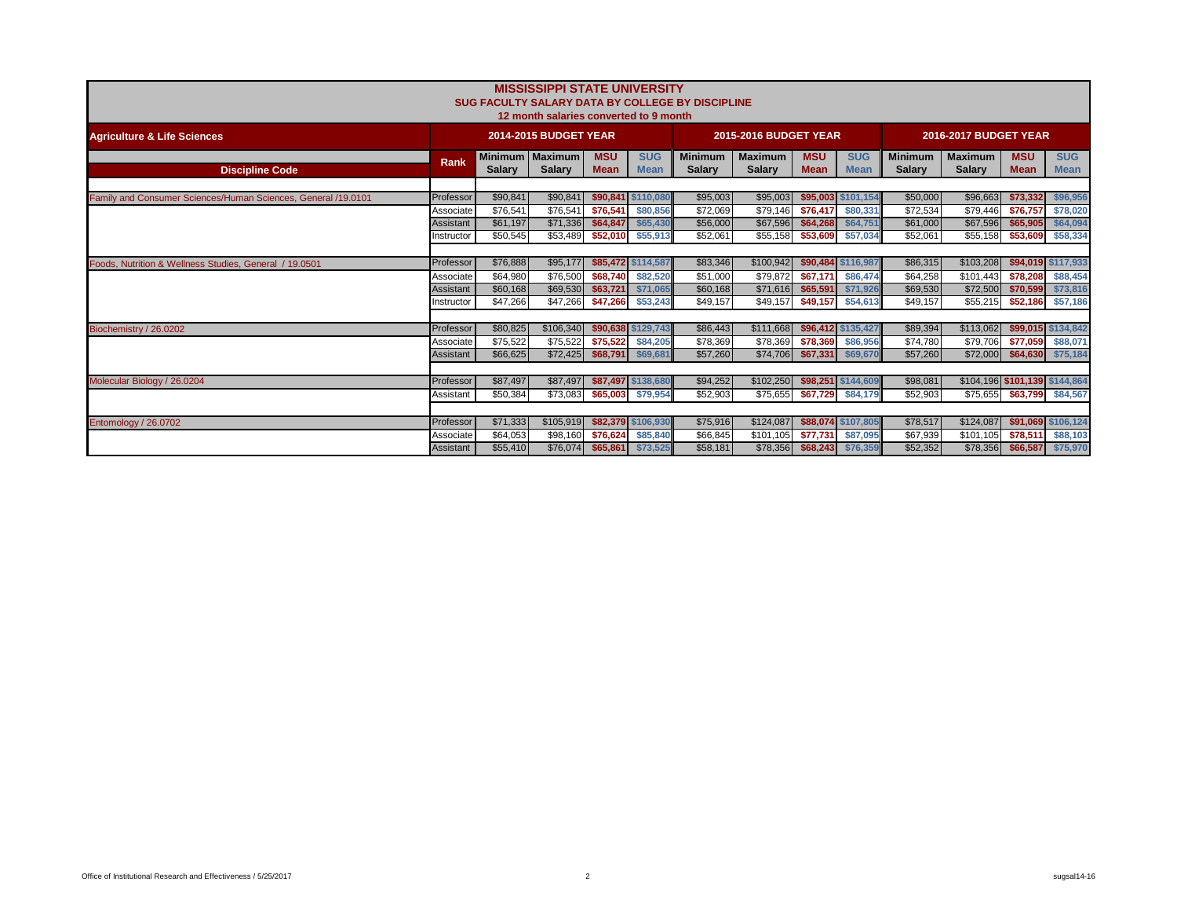|                                                               |                                     |                                  | <b>MISSISSIPPI STATE UNIVERSITY</b><br>12 month salaries converted to 9 month |                                  |                                            | <b>SUG FACULTY SALARY DATA BY COLLEGE BY DISCIPLINE</b> |                                   |                                  |                                            |                                  |                                    |                                                             |                                            |
|---------------------------------------------------------------|-------------------------------------|----------------------------------|-------------------------------------------------------------------------------|----------------------------------|--------------------------------------------|---------------------------------------------------------|-----------------------------------|----------------------------------|--------------------------------------------|----------------------------------|------------------------------------|-------------------------------------------------------------|--------------------------------------------|
| <b>Agriculture &amp; Life Sciences</b>                        |                                     |                                  | 2014-2015 BUDGET YEAR                                                         |                                  |                                            |                                                         | 2015-2016 BUDGET YEAR             |                                  |                                            |                                  | <b>2016-2017 BUDGET YEAR</b>       |                                                             |                                            |
| <b>Discipline Code</b>                                        | <b>Rank</b>                         | <b>Salary</b>                    | Minimum   Maximum<br><b>Salarv</b>                                            | <b>MSU</b><br><b>Mean</b>        | <b>SUG</b><br><b>Mean</b>                  | <b>Minimum</b><br><b>Salarv</b>                         | <b>Maximum</b><br><b>Salarv</b>   | <b>MSU</b><br><b>Mean</b>        | <b>SUG</b><br><b>Mean</b>                  | <b>Minimum</b><br><b>Salarv</b>  | <b>Maximum</b><br><b>Salarv</b>    | <b>MSU</b><br><b>Mean</b>                                   | <b>SUG</b><br><b>Mean</b>                  |
| Family and Consumer Sciences/Human Sciences, General /19.0101 | Professor                           | \$90,841                         | \$90,841                                                                      |                                  | \$90,841 \$110,080                         | \$95,003                                                | \$95,003                          |                                  | \$95,003 \$101,154                         | \$50,000                         | \$96,663                           | \$73,332                                                    | \$96,956                                   |
|                                                               | Associate<br>Assistant<br>nstructor | \$76,541<br>\$61,197<br>\$50.545 | \$76,541<br>\$71,336<br>\$53,489                                              | \$76,541<br>\$64,847<br>\$52,010 | \$80,856<br>\$65,430<br>\$55,913           | \$72,069<br>\$56,000<br>\$52,061                        | \$79,146<br>\$67,596<br>\$55,158  | \$76,417<br>\$64,268<br>\$53,609 | \$80,331<br>\$64,751<br>\$57,034           | \$72,534<br>\$61,000<br>\$52.061 | \$79,446<br>\$67,596<br>\$55,158   | \$76,757<br>\$65,905<br>\$53,609                            | \$78,020<br>\$64,094<br>\$58,334           |
|                                                               |                                     |                                  |                                                                               |                                  |                                            |                                                         |                                   |                                  |                                            |                                  |                                    |                                                             |                                            |
| Foods, Nutrition & Wellness Studies, General / 19.0501        | Professor<br>Associate<br>Assistant | \$76,888<br>\$64,980<br>\$60,168 | \$95,177<br>\$76,500<br>\$69,530                                              | \$68,740<br>\$63,721             | \$85,472 \$114,587<br>\$82,520<br>\$71,065 | \$83,346<br>\$51,000<br>\$60,168                        | \$100,942<br>\$79,872<br>\$71,616 | \$67,171<br>\$65,591             | \$90,484 \$116,987<br>\$86,474<br>\$71,926 | \$86,315<br>\$64,258<br>\$69,530 | \$103,208<br>\$101,443<br>\$72,500 | \$78,208<br>\$70,599                                        | \$94,019 \$117,933<br>\$88,454<br>\$73,816 |
|                                                               | Instructor                          | \$47.266                         | \$47,266                                                                      | \$47,266                         | \$53,243                                   | \$49.157                                                | \$49.157                          | \$49.157                         | \$54,613                                   | \$49.157                         | \$55,215                           | \$52,186                                                    | \$57,186                                   |
| Biochemistry / 26.0202                                        | Professor<br>Associate              | \$80,825<br>\$75,522             | \$106,340<br>\$75,522                                                         | \$75,522                         | \$90,638 \$129,743<br>\$84,205             | \$86,443<br>\$78,369                                    | \$111,668<br>\$78,369             | \$78,369                         | \$96,412 \$135,427<br>\$86,956             | \$89,394<br>\$74,780             | \$113,062<br>\$79,706              | \$77,059                                                    | \$99,015 \$134,842<br>\$88,071             |
|                                                               | Assistant                           | \$66,625                         | \$72,425                                                                      | \$68,791                         | \$69,681                                   | \$57,260                                                | \$74,706                          | \$67,331                         | \$69,670                                   | \$57,260                         | \$72,000                           | \$64,630                                                    | \$75,184                                   |
| Molecular Biology / 26.0204                                   | Professor<br>Assistant              | \$87,497<br>\$50,384             | \$87,497<br>\$73,083                                                          | \$65,003                         | \$87,497 \$138,680<br>\$79,954             | \$94,252<br>\$52,903                                    | \$102,250<br>\$75,655             | \$67,729                         | \$98,251 \$144,609<br>\$84,179             | \$98,081<br>\$52,903             |                                    | \$104,196 \$101,139 \$144,864<br>\$75,655 \$63,799 \$84,567 |                                            |
| Entomology / 26.0702                                          | Professor                           | \$71,333                         | \$105,919                                                                     |                                  | \$82,379 \$106,930                         | \$75,916                                                | \$124,087                         |                                  | \$88,074 \$107,805                         | \$78,517                         | \$124,087                          |                                                             | \$91,069 \$106,124                         |
|                                                               | Associate<br>Assistant              | \$64,053<br>\$55,410             | \$98,160<br>\$76,074                                                          | \$76,624                         | \$85,840<br>\$65,861 \$73,525              | \$66,845<br>\$58,181                                    | \$101.105<br>\$78,356             | \$77.731<br>\$68,243             | \$87,095<br>\$76,359                       | \$67,939<br>\$52,352             | \$101.105<br>\$78,356              | \$78,511                                                    | \$88,103<br>\$66,587 \$75,970              |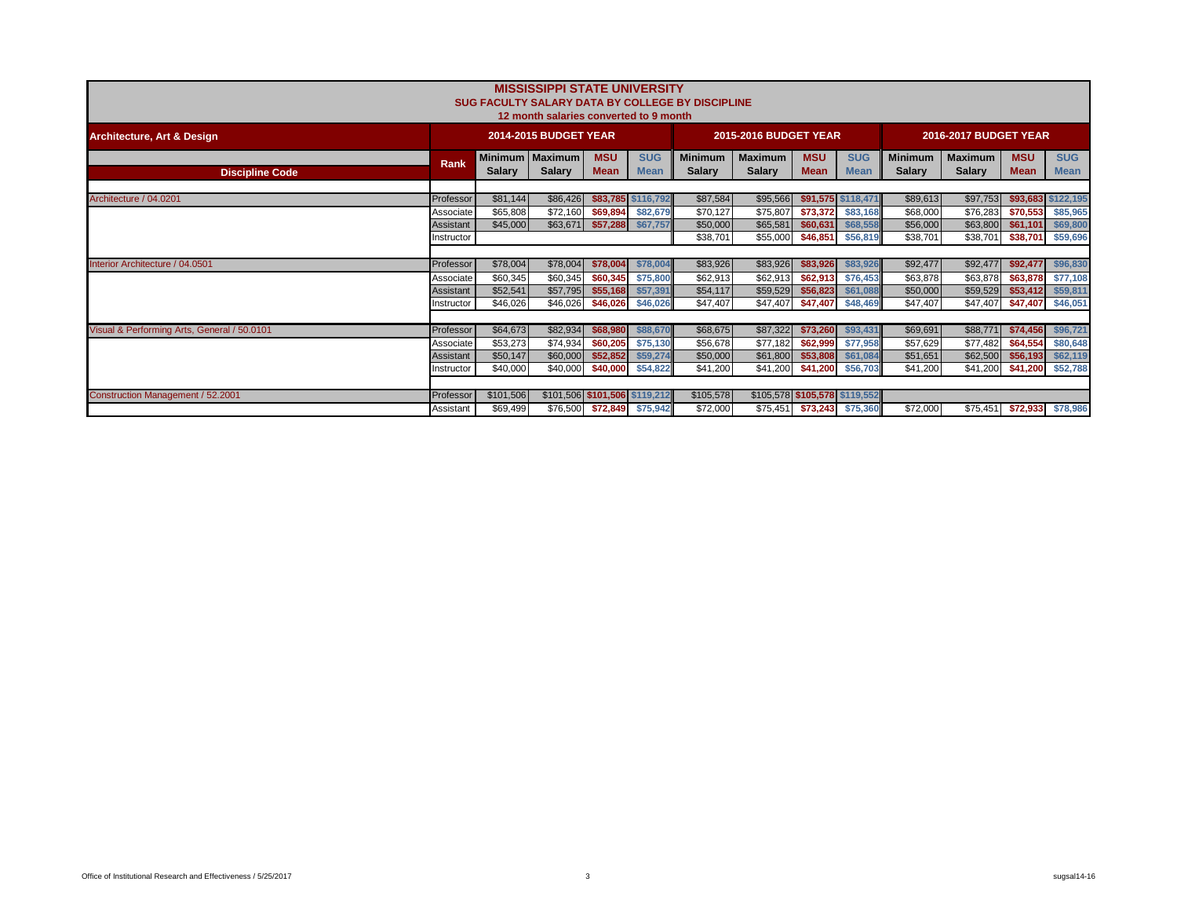|                                             |            |               | <b>MISSISSIPPI STATE UNIVERSITY</b><br>12 month salaries converted to 9 month |                           |                           | SUG FACULTY SALARY DATA BY COLLEGE BY DISCIPLINE |                                 |                    |                            |                                 |                                 |                           |                           |
|---------------------------------------------|------------|---------------|-------------------------------------------------------------------------------|---------------------------|---------------------------|--------------------------------------------------|---------------------------------|--------------------|----------------------------|---------------------------------|---------------------------------|---------------------------|---------------------------|
| <b>Architecture, Art &amp; Design</b>       |            |               | 2014-2015 BUDGET YEAR                                                         |                           |                           |                                                  | <b>2015-2016 BUDGET YEAR</b>    |                    |                            |                                 | 2016-2017 BUDGET YEAR           |                           |                           |
| <b>Discipline Code</b>                      | Rank       | <b>Salary</b> | Minimum   Maximum<br><b>Salary</b>                                            | <b>MSU</b><br><b>Mean</b> | <b>SUG</b><br><b>Mean</b> | <b>Minimum</b><br><b>Salary</b>                  | <b>Maximum</b><br><b>Salary</b> | <b>MSU</b><br>Mean | <b>SUG</b><br><b>Mean</b>  | <b>Minimum</b><br><b>Salary</b> | <b>Maximum</b><br><b>Salary</b> | <b>MSU</b><br><b>Mean</b> | <b>SUG</b><br><b>Mean</b> |
|                                             |            |               |                                                                               |                           |                           |                                                  |                                 |                    |                            |                                 |                                 |                           |                           |
| Architecture / 04.0201                      | Professor  | \$81,144      | \$86,426                                                                      |                           | \$83,785 \$116,792        | \$87,584                                         | \$95,566                        |                    | \$91,575 \$118,471         | \$89,613                        | \$97,753                        |                           | \$93,683 \$122,195        |
|                                             | Associate  | \$65,808      | \$72,160                                                                      | \$69,894                  | \$82,679                  | \$70,127                                         | \$75,807                        | \$73.372           | \$83,168                   | \$68,000                        | \$76,283                        | \$70,553                  | \$85,965                  |
|                                             | Assistant  | \$45,000      | \$63,671                                                                      |                           | \$57,288 \$67,757         | \$50,000                                         | \$65,581                        | \$60,631           | \$68,558                   | \$56,000                        | \$63,800                        | \$61,101                  | \$69,800                  |
|                                             | Instructor |               |                                                                               |                           |                           | \$38,701                                         | \$55,000                        |                    | \$46,851 \$56,819          | \$38,701                        | \$38,701                        | \$38,701                  | \$59,696                  |
|                                             |            |               |                                                                               |                           |                           |                                                  |                                 |                    |                            |                                 |                                 |                           |                           |
| Interior Architecture / 04.0501             | Professor  | \$78,004      | \$78,004                                                                      | \$78,004                  | \$78,004                  | \$83,926                                         | \$83,926                        | \$83,926           | \$83,926                   | \$92,477                        | \$92,477                        | \$92,477                  | \$96,830                  |
|                                             | Associate  | \$60,345      | \$60,345                                                                      | \$60,345                  | \$75,800                  | \$62,913                                         | \$62,913                        | \$62,913           | \$76,453                   | \$63,878                        | \$63,878                        | \$63,878                  | \$77,108                  |
|                                             | Assistant  | \$52,541      | \$57,795                                                                      | \$55,168                  | \$57,391                  | \$54,117                                         | \$59,529                        | \$56,823           | \$61,088                   | \$50,000                        | \$59,529                        | \$53,412                  | \$59,811                  |
|                                             | Instructor | \$46,026      | \$46,026                                                                      | \$46,026                  | \$46,026                  | \$47,407                                         | \$47,407                        | \$47,407           | \$48,469                   | \$47,407                        | \$47,407                        | \$47,407                  | \$46,051                  |
|                                             |            |               |                                                                               |                           |                           |                                                  |                                 |                    |                            |                                 |                                 |                           |                           |
| Visual & Performing Arts, General / 50.0101 | Professor  | \$64,673      | \$82,934                                                                      | \$68,980                  | \$88,670                  | \$68,675                                         | \$87,322                        | \$73,260           | \$93,431                   | \$69,691                        | \$88,771                        | \$74,456                  | \$96,721                  |
|                                             | Associate  | \$53,273      | \$74,934                                                                      | \$60,205                  | \$75,130                  | \$56,678                                         | \$77,182                        | \$62,999           | \$77,958                   | \$57,629                        | \$77,482                        | \$64,554                  | \$80,648                  |
|                                             | Assistant  | \$50,147      | \$60,000                                                                      | \$52,852                  | \$59,274                  | \$50,000                                         | \$61,800                        | \$53,808           | \$61,084                   | \$51,651                        | \$62,500                        | \$56,193                  | \$62,119                  |
|                                             | Instructor | \$40,000      | \$40,000                                                                      | \$40,000                  | \$54,822                  | \$41,200                                         | \$41,200                        | \$41,200           | \$56,703                   | \$41,200                        | \$41,200                        | \$41,200                  | \$52,788                  |
|                                             |            |               |                                                                               |                           |                           |                                                  |                                 |                    |                            |                                 |                                 |                           |                           |
| Construction Management / 52.2001           | Professor  | \$101,506     | \$101,506 \$101,506 \$119,212                                                 |                           |                           | \$105,578                                        | \$105,578 \$105,578 \$119,552   |                    |                            |                                 |                                 |                           |                           |
|                                             | Assistant  | \$69,499      | \$76,500                                                                      |                           | \$72,849 \$75,942         | \$72,000                                         |                                 |                    | \$75,451 \$73,243 \$75,360 | \$72,000                        | \$75,451                        |                           | \$72,933 \$78,986         |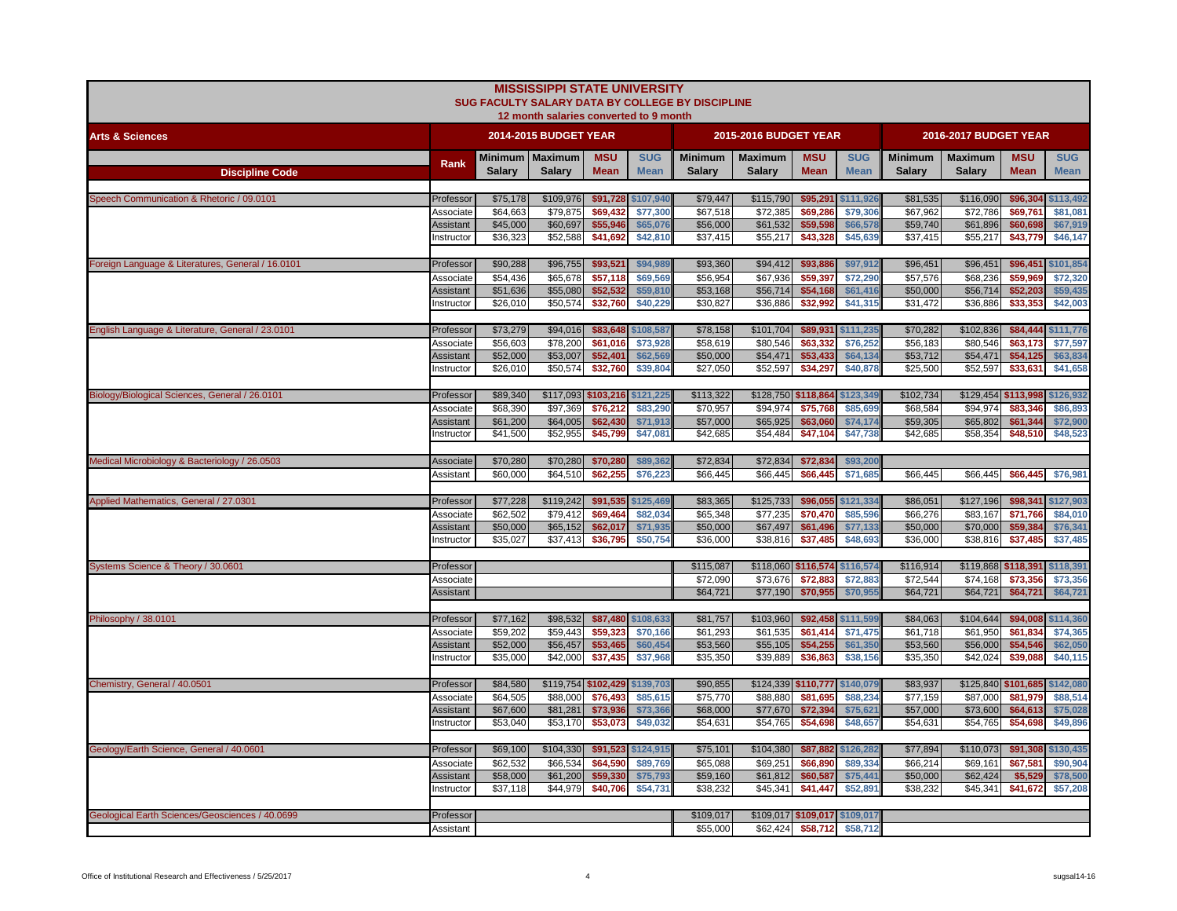|                                                   |                               |                      | <b>MISSISSIPPI STATE UNIVERSITY</b><br>12 month salaries converted to 9 month |                      |                      | SUG FACULTY SALARY DATA BY COLLEGE BY DISCIPLINE |                               |                      |                      |                      |                       |                               |                      |
|---------------------------------------------------|-------------------------------|----------------------|-------------------------------------------------------------------------------|----------------------|----------------------|--------------------------------------------------|-------------------------------|----------------------|----------------------|----------------------|-----------------------|-------------------------------|----------------------|
| <b>Arts &amp; Sciences</b>                        |                               |                      | 2014-2015 BUDGET YEAR                                                         |                      |                      |                                                  | 2015-2016 BUDGET YEAR         |                      |                      |                      | 2016-2017 BUDGET YEAR |                               |                      |
|                                                   |                               |                      | Minimum   Maximum                                                             | <b>MSU</b>           | <b>SUG</b>           | <b>Minimum</b>                                   | <b>Maximum</b>                | <b>MSU</b>           | <b>SUG</b>           | <b>Minimum</b>       | <b>Maximum</b>        | <b>MSU</b>                    | <b>SUG</b>           |
| <b>Discipline Code</b>                            | Rank                          | <b>Salary</b>        | <b>Salary</b>                                                                 | <b>Mean</b>          | <b>Mean</b>          | <b>Salary</b>                                    | <b>Salary</b>                 | <b>Mean</b>          | <b>Mean</b>          | <b>Salary</b>        | <b>Salary</b>         | <b>Mean</b>                   | <b>Mean</b>          |
|                                                   |                               |                      |                                                                               |                      |                      |                                                  |                               |                      |                      |                      |                       |                               |                      |
| Speech Communication & Rhetoric / 09.0101         | Professor                     | \$75,178             | \$109,976                                                                     |                      | \$91,728 \$107,940   | \$79,447                                         | \$115,790                     |                      | \$95,291 \$111,926   | \$81,535             | \$116,090             | \$96,304                      | \$113,492            |
|                                                   | Associate                     | \$64,663             | \$79,875                                                                      | \$69,432             | \$77,300             | \$67,518                                         | \$72,385                      | \$69,286             | \$79,306             | \$67,962             | \$72,786              | \$69,761                      | \$81,081             |
|                                                   | Assistant                     | \$45,000<br>\$36,323 | \$60,697<br>\$52,588                                                          | \$55,946<br>\$41,692 | \$65,076<br>\$42,810 | \$56,000<br>\$37,415                             | \$61,532<br>\$55,217          | \$59,598<br>\$43,328 | \$66,578<br>\$45,639 | \$59,740<br>\$37,415 | \$61,896<br>\$55,217  | \$60,698                      | \$67,919             |
|                                                   | nstructor                     |                      |                                                                               |                      |                      |                                                  |                               |                      |                      |                      |                       | \$43,779                      | \$46,147             |
| Foreign Language & Literatures, General / 16.0101 | Professor                     | \$90,288             | \$96,755                                                                      | \$93,521             | \$94,989             | \$93,360                                         | \$94,412                      | \$93,886             | \$97,912             | \$96,451             | \$96,451              | \$96,451                      | \$101,854            |
|                                                   | Associate                     | \$54,436             | \$65,678                                                                      | \$57,118             | \$69,569             | \$56,954                                         | \$67,936                      | \$59,397             | \$72,290             | \$57,576             | \$68,236              | \$59,969                      | \$72,320             |
|                                                   | Assistant                     | \$51,636             | \$55,080                                                                      | \$52,532             | \$59,810             | \$53,168                                         | \$56,714                      | \$54,168             | \$61,416             | \$50,000             | \$56,714              | \$52,203                      | \$59,435             |
|                                                   | nstructor                     | \$26,010             | \$50,574                                                                      | \$32,760             | \$40,229             | \$30,827                                         | \$36,886                      | \$32,992             | \$41,315             | \$31,472             | \$36,886              | \$33,353                      | \$42,003             |
|                                                   |                               |                      |                                                                               |                      |                      |                                                  |                               |                      |                      |                      |                       |                               |                      |
| English Language & Literature, General / 23.0101  | Professor                     | \$73,279             | \$94,016                                                                      | \$83,648             | \$108,587            | \$78,158                                         | \$101,704                     | \$89,931             | \$111,235            | \$70,282             | \$102,836             | \$84,444                      | \$111,776            |
|                                                   | Associate                     | \$56,603             | \$78,200                                                                      | \$61,016             | \$73,928             | \$58,619                                         | \$80,546                      | \$63,332             | \$76,252             | \$56,183             | \$80,546              | \$63,173                      | \$77,597             |
|                                                   | Assistant                     | \$52,000             | \$53,007                                                                      | \$52,401             | \$62,569             | \$50,000                                         | \$54,471                      | \$53,433             | \$64,134             | \$53,712             | \$54,471              | \$54,125                      | \$63,834             |
|                                                   | nstructor                     | \$26,010             | \$50,574                                                                      | \$32,760             | \$39,804             | \$27,050                                         | \$52,597                      | \$34,297             | \$40,878             | \$25,500             | \$52,597              | \$33,631                      | \$41,658             |
| Biology/Biological Sciences, General / 26.0101    | Professor                     | \$89,340             | \$117,093 \$103,216                                                           |                      | \$121,225            | \$113,322                                        | \$128,750 \$118,864           |                      | \$123,349            | \$102,734            | \$129,454 \$113,998   |                               | \$126,932            |
|                                                   | Associate                     | \$68,390             | \$97,369                                                                      | \$76.212             | \$83,290             | \$70,957                                         | \$94.974                      | \$75,768             | \$85,699             | \$68,584             | \$94.974              | \$83.346                      | \$86,893             |
|                                                   | Assistant                     | \$61,200             | \$64,005                                                                      | \$62,430             | \$71,913             | \$57,000                                         | \$65,925                      | \$63,060             | \$74,174             | \$59,305             | \$65,802              | \$61,344                      | \$72,900             |
|                                                   | nstructor                     | \$41,500             | \$52,955                                                                      | \$45,799             | \$47,081             | \$42,685                                         | \$54,484                      | \$47,104             | \$47,738             | \$42,685             | \$58,354              | \$48,510                      | \$48,523             |
|                                                   |                               |                      |                                                                               |                      |                      |                                                  |                               |                      |                      |                      |                       |                               |                      |
| Medical Microbiology & Bacteriology / 26.0503     | Associate                     | \$70,280             | \$70,280                                                                      | \$70,280             | \$89,362             | \$72,834                                         | \$72,834                      | \$72,834             | \$93,200             |                      |                       |                               |                      |
|                                                   | Assistant                     | \$60,000             | \$64,510                                                                      | \$62,255             | \$76,223             | \$66,445                                         | \$66,445                      | \$66,445             | \$71,685             | \$66,445             | \$66,445              | \$66,445                      | \$76,981             |
|                                                   |                               |                      |                                                                               |                      |                      |                                                  |                               |                      |                      |                      |                       |                               |                      |
| Applied Mathematics, General / 27.0301            | Professor                     | \$77,228             | \$119,242                                                                     |                      | \$91,535 \$125,469   | \$83,365                                         | \$125,733                     |                      | \$96,055 \$121,334   | \$86,051             | \$127,196             | \$98,341                      | \$127,903            |
|                                                   | Associate                     | \$62,502             | \$79,412                                                                      | \$69,464             | \$82,034             | \$65,348                                         | \$77,235                      | \$70,470             | \$85,596             | \$66,276             | \$83,167              | \$71,766                      | \$84,010             |
|                                                   | <b>Assistant</b>              | \$50,000             | \$65,152                                                                      | \$62,017             | \$71,935             | \$50,000                                         | \$67,497                      | \$61,496             | \$77,133             | \$50,000             | \$70,000              | \$59,384                      | \$76,341             |
|                                                   | Instructor                    | \$35,027             | \$37,413                                                                      | \$36,795             | \$50,754             | \$36,000                                         | \$38,816                      | \$37,485             | \$48,693             | \$36,000             | \$38,816              | \$37,485                      | \$37,485             |
| Systems Science & Theory / 30.0601                | Professor                     |                      |                                                                               |                      |                      | \$115,087                                        | \$118,060 \$116,574 \$116,574 |                      |                      | \$116,914            |                       | \$119,868 \$118,391           | \$118,391            |
|                                                   | Associate                     |                      |                                                                               |                      |                      | \$72,090                                         | \$73,676                      | \$72,883             | \$72,883             | \$72,544             | \$74,168              | \$73,356                      | \$73,356             |
|                                                   | <b>Assistant</b>              |                      |                                                                               |                      |                      | \$64,721                                         | \$77,190                      | \$70,955             | \$70,955             | \$64,721             | \$64,721              | \$64,721                      | \$64,721             |
|                                                   |                               |                      |                                                                               |                      |                      |                                                  |                               |                      |                      |                      |                       |                               |                      |
| Philosophy / 38.0101                              | Professor                     | \$77,162             | \$98,532                                                                      |                      | \$87,480 \$108,633   | \$81,757                                         | \$103,960                     |                      | \$92,458 \$111,599   | \$84,063             | \$104,644             | \$94,008                      | \$114,360            |
|                                                   | Associate                     | \$59,202             | \$59,443                                                                      | \$59,323             | \$70,166             | \$61,293                                         | \$61,535                      | \$61,414             | \$71,475             | \$61,718             | \$61,950              | \$61,834                      | \$74,365             |
|                                                   | Assistant                     | \$52,000             | \$56,457                                                                      | \$53,465             | \$60,454             | \$53,560                                         | \$55,105                      | \$54,255             | \$61,350             | \$53,560             | \$56,000              | \$54,546                      | \$62,050             |
|                                                   | Instructor                    | \$35,000             | \$42,000                                                                      | \$37,435             | \$37,968             | \$35,350                                         | \$39,889                      | \$36,863             | \$38,156             | \$35,350             | \$42,024              | \$39,088                      | \$40,115             |
|                                                   |                               |                      |                                                                               |                      |                      |                                                  |                               |                      |                      |                      |                       |                               |                      |
| Chemistry, General / 40.0501                      | Professor                     | \$84,580             | \$119,754 \$102,429 \$139,703                                                 |                      |                      | \$90,855                                         | \$124,339 \$110,777 \$140,079 |                      |                      | \$83,937             |                       | \$125,840 \$101,685 \$142,080 |                      |
|                                                   | Associate<br><b>Assistant</b> | \$64.505<br>\$67,600 | \$88,000<br>\$81,281                                                          | \$76.493<br>\$73,936 | \$85,615<br>\$73,360 | \$75,770<br>\$68,000                             | \$88,880<br>\$77,670          | \$81.695<br>\$72,394 | \$88,234             | \$77.159<br>\$57,000 | \$87,000              | \$81,979                      | \$88,514             |
|                                                   | Instructor                    | \$53,040             | \$53,170                                                                      | \$53,073             | \$49,032             | \$54,631                                         | \$54,765                      | \$54,698             | \$75,621<br>\$48,657 | \$54,631             | \$73,600<br>\$54,765  | \$64,613<br>\$54,698          | \$75,028<br>\$49,896 |
|                                                   |                               |                      |                                                                               |                      |                      |                                                  |                               |                      |                      |                      |                       |                               |                      |
| Geology/Earth Science, General / 40.0601          | Professor                     | \$69,100             | \$104,330                                                                     |                      | \$91,523 \$124,915   | \$75,101                                         | \$104,380                     |                      | \$87,882 \$126,282   | \$77,894             | \$110,073             | \$91,308                      | \$130,435            |
|                                                   | Associate                     | \$62,532             | \$66,534                                                                      | \$64,590             | \$89,769             | \$65,088                                         | \$69,251                      | \$66,890             | \$89,334             | \$66,214             | \$69,161              | \$67,581                      | \$90,904             |
|                                                   | Assistant                     | \$58,000             | \$61,200                                                                      | \$59,330             | \$75,793             | \$59,160                                         | \$61,812                      | \$60,587             | \$75,441             | \$50,000             | \$62,424              | \$5,529                       | \$78,500             |
|                                                   | nstructor                     | \$37,118             | \$44,979                                                                      | \$40,706             | \$54,731             | \$38,232                                         | \$45,341                      | \$41,447             | \$52,891             | \$38,232             | \$45,341              | \$41,672                      | \$57,208             |
|                                                   |                               |                      |                                                                               |                      |                      |                                                  |                               |                      |                      |                      |                       |                               |                      |
| Geological Earth Sciences/Geosciences / 40.0699   | Professor                     |                      |                                                                               |                      |                      | \$109,017                                        | \$109,017 \$109,017 \$109,017 |                      |                      |                      |                       |                               |                      |
|                                                   | Assistant                     |                      |                                                                               |                      |                      | \$55,000                                         | \$62,424                      | \$58,712             | \$58,712             |                      |                       |                               |                      |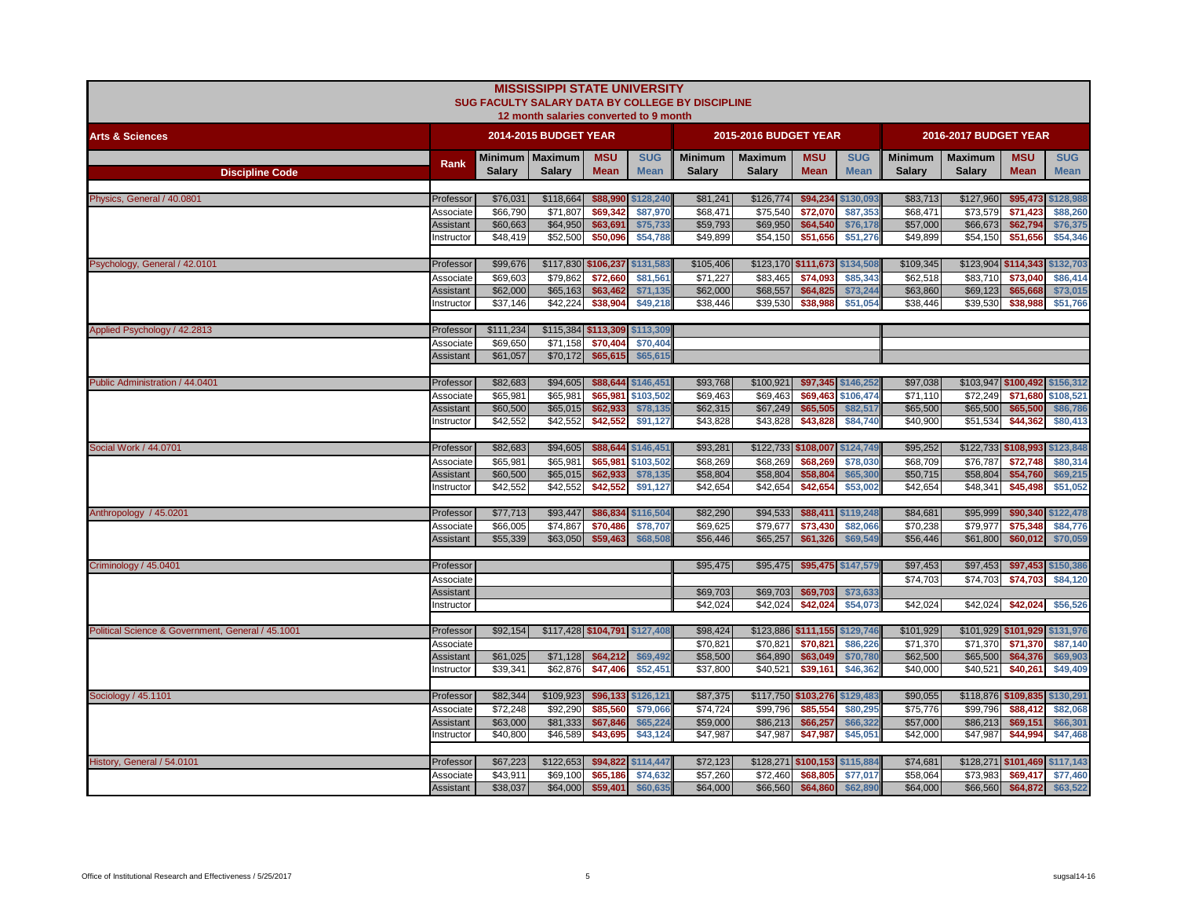|                                                   |                         |                      | <b>MISSISSIPPI STATE UNIVERSITY</b><br>12 month salaries converted to 9 month |                               |                      | SUG FACULTY SALARY DATA BY COLLEGE BY DISCIPLINE |                       |                               |                      |                      |                       |                               |                                |
|---------------------------------------------------|-------------------------|----------------------|-------------------------------------------------------------------------------|-------------------------------|----------------------|--------------------------------------------------|-----------------------|-------------------------------|----------------------|----------------------|-----------------------|-------------------------------|--------------------------------|
| <b>Arts &amp; Sciences</b>                        |                         |                      | 2014-2015 BUDGET YEAR                                                         |                               |                      |                                                  | 2015-2016 BUDGET YEAR |                               |                      |                      | 2016-2017 BUDGET YEAR |                               |                                |
|                                                   | Rank                    | Minimum              | Maximum                                                                       | <b>MSU</b>                    | <b>SUG</b>           | <b>Minimum</b>                                   | <b>Maximum</b>        | <b>MSU</b>                    | <b>SUG</b>           | <b>Minimum</b>       | <b>Maximum</b>        | <b>MSU</b>                    | <b>SUG</b>                     |
| <b>Discipline Code</b>                            |                         | <b>Salary</b>        | <b>Salarv</b>                                                                 | <b>Mean</b>                   | <b>Mean</b>          | <b>Salarv</b>                                    | <b>Salary</b>         | <b>Mean</b>                   | <b>Mean</b>          | <b>Salary</b>        | <b>Salary</b>         | <b>Mean</b>                   | <b>Mean</b>                    |
| Physics, General / 40.0801                        | Professor               | \$76,031             | \$118,664                                                                     | \$88,990                      | \$128,240            | \$81,241                                         | \$126,774             | \$94,234                      | \$130,093            | \$83,713             | \$127,960             | \$95,473                      | \$128,988                      |
|                                                   | Associate               | \$66,790             | \$71,807                                                                      | \$69,342                      | \$87,970             | \$68,471                                         | \$75,540              | \$72,070                      | \$87,353             | \$68,471             | \$73,579              | \$71,423                      | \$88,260                       |
|                                                   | Assistant               | \$60,663             | \$64,950                                                                      | \$63,691                      | \$75,733             | \$59,793                                         | \$69,950              | \$64,540                      | \$76,178             | \$57,000             | \$66,673              | \$62,794                      | \$76,375                       |
|                                                   | Instructor              | \$48,419             | \$52,500                                                                      | \$50,096                      | \$54,788             | \$49,899                                         | \$54,150              | \$51,656                      | \$51,276             | \$49,899             | \$54,150              | \$51,656                      | \$54,346                       |
|                                                   |                         |                      |                                                                               |                               |                      |                                                  |                       |                               |                      |                      |                       |                               |                                |
| Psychology, General / 42.0101                     | Professor               | \$99,676             |                                                                               | \$117,830 \$106,237 \$131,583 |                      | \$105,406                                        |                       | \$123,170 \$111,673 \$134,508 |                      | \$109,345            |                       | \$123,904 \$114,343 \$132,703 |                                |
|                                                   | Associate               | \$69,603             | \$79,862                                                                      | \$72,660                      | \$81,561             | \$71.227                                         | \$83,465              | \$74,093                      | \$85,343             | \$62,518             | \$83,710              | \$73,040                      | \$86,414                       |
|                                                   | Assistant               | \$62,000             | \$65,163                                                                      | \$63,462                      | \$71,135             | \$62,000                                         | \$68,557              | \$64,825                      | \$73,244             | \$63,860             | \$69,123              | \$65,668                      | \$73,015                       |
|                                                   | Instructor              | \$37,146             | \$42,224                                                                      | \$38,904                      | \$49,218             | \$38,446                                         | \$39,530              | \$38,988                      | \$51,054             | \$38,446             | \$39,530              | \$38,988                      | \$51,766                       |
| Applied Psychology / 42.2813                      | Professor               | \$111,234            |                                                                               | \$115,384 \$113,309 \$113,309 |                      |                                                  |                       |                               |                      |                      |                       |                               |                                |
|                                                   | Associate               | \$69,650             | \$71,158                                                                      | \$70,404                      | \$70,404             |                                                  |                       |                               |                      |                      |                       |                               |                                |
|                                                   | Assistant               | \$61,057             | \$70,172                                                                      | \$65,615                      | \$65,615             |                                                  |                       |                               |                      |                      |                       |                               |                                |
|                                                   |                         |                      |                                                                               |                               |                      |                                                  |                       |                               |                      |                      |                       |                               |                                |
| Public Administration / 44.0401                   | Professor               | \$82,683             | \$94,605                                                                      | \$88,644                      | \$146,451            | \$93,768                                         | \$100,921             |                               | \$97,345 \$146,252   | \$97,038             |                       | \$103,947 \$100,492 \$156,312 |                                |
|                                                   | Associate               | \$65,981             | \$65,981                                                                      | \$65,981                      | \$103,502            | \$69,463                                         | \$69,463              | \$69,463                      | \$106,474            | \$71,110             | \$72,249              | \$71,680                      | \$108,521                      |
|                                                   | Assistant               | \$60,500             | \$65,015                                                                      | \$62,933                      | \$78,135             | \$62,315                                         | \$67,249              | \$65,505                      | \$82,517             | \$65,500             | \$65,500              | \$65,500                      | \$86,786                       |
|                                                   | Instructor              | \$42,552             | \$42,552                                                                      | \$42,552                      | \$91,127             | \$43,828                                         | \$43,828              | \$43,828                      | \$84,740             | \$40,900             | \$51,534              | \$44,362                      | \$80,413                       |
| Social Work / 44.0701                             |                         | \$82,683             | \$94,605                                                                      | \$88,644                      | \$146,451            | \$93,281                                         |                       | \$122,733 \$108,007 \$124,749 |                      | \$95,252             | \$122,733 \$108,993   |                               | \$123,848                      |
|                                                   | Professor<br>Associate  | \$65,981             | \$65,981                                                                      | \$65,981                      | \$103,502            | \$68,269                                         | \$68,269              | \$68,269                      | \$78,030             | \$68,709             | \$76,787              | \$72,748                      | \$80,314                       |
|                                                   | <b>Assistant</b>        | \$60,500             | \$65,015                                                                      | \$62,933                      | \$78,135             | \$58,804                                         | \$58,804              | \$58,804                      | \$65,300             | \$50,715             | \$58,804              | \$54,760                      | \$69,215                       |
|                                                   | Instructor              | \$42,552             | \$42,552                                                                      | \$42,552                      | \$91,127             | \$42,654                                         | \$42,654              | \$42,654                      | \$53,002             | \$42,654             | \$48,341              | \$45,498                      | \$51,052                       |
|                                                   |                         |                      |                                                                               |                               |                      |                                                  |                       |                               |                      |                      |                       |                               |                                |
| Anthropology / 45.0201                            | Professor               | \$77,713             | \$93,447                                                                      | \$86,834                      | \$116,504            | \$82,290                                         | \$94,533              |                               | \$88,411 \$119,248   | \$84,681             | \$95,999              | \$90,340                      | \$122,478                      |
|                                                   | Associate               | \$66,005             | \$74,867                                                                      | \$70,486                      | \$78,707             | \$69,625                                         | \$79,677              | \$73,430                      | \$82,066             | \$70,238             | \$79,977              | \$75,348                      | \$84,776                       |
|                                                   | Assistant               | \$55,339             | \$63,050                                                                      | \$59,463                      | \$68,508             | \$56,446                                         | \$65,257              | \$61,326                      | \$69,549             | \$56,446             | \$61,800              | \$60,012                      | \$70,059                       |
|                                                   |                         |                      |                                                                               |                               |                      |                                                  |                       |                               |                      |                      |                       |                               |                                |
| Criminology / 45.0401                             | Professor<br>Associate  |                      |                                                                               |                               |                      | \$95,475                                         | \$95,475              |                               | \$95,475 \$147,579   | \$97,453<br>\$74,703 | \$97,453<br>\$74,703  | \$74,703                      | \$97,453 \$150,386<br>\$84,120 |
|                                                   | Assistant               |                      |                                                                               |                               |                      | \$69,703                                         | \$69,703              | \$69,703                      | \$73,633             |                      |                       |                               |                                |
|                                                   | Instructor              |                      |                                                                               |                               |                      | \$42,024                                         | \$42,024              | \$42,024                      | \$54,073             | \$42,024             | \$42,024              | \$42,024                      | \$56,526                       |
|                                                   |                         |                      |                                                                               |                               |                      |                                                  |                       |                               |                      |                      |                       |                               |                                |
| Political Science & Government, General / 45.1001 | Professor               | \$92,154             | \$117,428 \$104,791 \$127,408                                                 |                               |                      | \$98,424                                         |                       | \$123,886 \$111,155 \$129,746 |                      | \$101,929            |                       | \$101,929 \$101,929           | \$131,976                      |
|                                                   | Associate               |                      |                                                                               |                               |                      | \$70,821                                         | \$70,821              | \$70,821                      | \$86,226             | \$71,370             | \$71,370              | \$71,370                      | \$87,140                       |
|                                                   | <b>Assistant</b>        | \$61,025             | \$71,128                                                                      | \$64,212                      | \$69,492             | \$58,500                                         | \$64,890              | \$63,049                      | \$70,780             | \$62,500             | \$65,500              | \$64,376                      | \$69,903                       |
|                                                   | Instructor              | \$39,341             | \$62,876                                                                      | \$47,406                      | \$52,451             | \$37,800                                         | \$40,521              | \$39,161                      | \$46,362             | \$40,000             | \$40,521              | \$40,261                      | \$49,409                       |
|                                                   |                         |                      |                                                                               |                               |                      |                                                  |                       |                               |                      |                      |                       |                               |                                |
| Sociology / 45.1101                               | Professor               | \$82,344             | \$109,923                                                                     |                               | \$96,133 \$126,121   | \$87,375                                         |                       | \$117,750 \$103,276 \$129,483 |                      | \$90,055             | \$118,876 \$109,835   |                               | \$130,291                      |
|                                                   | Associate               | \$72,248<br>\$63,000 | \$92,290<br>\$81,333                                                          | \$85,560<br>\$67,846          | \$79,066<br>\$65,224 | \$74,724<br>\$59,000                             | \$99,796<br>\$86,213  | \$85,554<br>\$66,257          | \$80,295<br>\$66,322 | \$75,776<br>\$57,000 | \$99,796<br>\$86,213  | \$88,412<br>\$69,151          | \$82,068<br>\$66,301           |
|                                                   | Assistant<br>Instructor | \$40,800             | \$46,589                                                                      | \$43,695                      | \$43,124             | \$47,987                                         | \$47,987              | \$47,987                      | \$45,051             | \$42,000             | \$47,987              | \$44,994                      | \$47,468                       |
|                                                   |                         |                      |                                                                               |                               |                      |                                                  |                       |                               |                      |                      |                       |                               |                                |
| History, General / 54.0101                        | Professor               | \$67,223             | \$122,653                                                                     |                               | \$94,822 \$114,447   | \$72,123                                         |                       | \$128,271 \$100,153 \$115,884 |                      | \$74,681             |                       | \$128,271 \$101,469           | \$117,143                      |
|                                                   | Associate               | \$43,911             | \$69,100                                                                      | \$65,186                      | \$74,632             | \$57,260                                         | \$72,460              | \$68,805                      | \$77,017             | \$58,064             | \$73,983              | \$69,417                      | \$77,460                       |
|                                                   | Assistant               | \$38,037             | \$64,000                                                                      |                               | \$59,401 \$60,635    | \$64,000                                         |                       | \$66,560 \$64,860             | \$62,890             | \$64,000             | \$66,560              |                               | \$64,872 \$63,522              |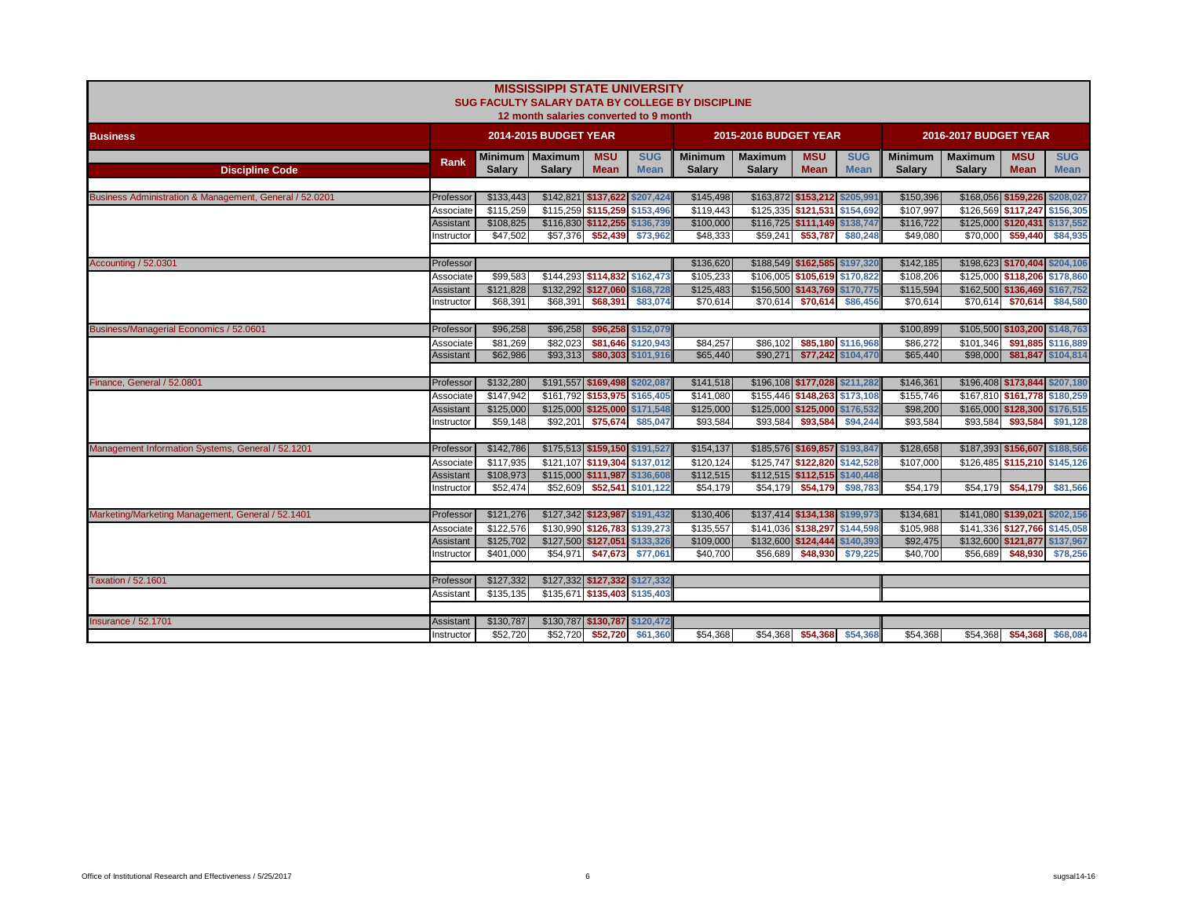|                                                         |                  |                       | <b>MISSISSIPPI STATE UNIVERSITY</b><br>12 month salaries converted to 9 month |                                                             |                                          | SUG FACULTY SALARY DATA BY COLLEGE BY DISCIPLINE |                              |                               |                                          |                      |                              |                               |                                          |
|---------------------------------------------------------|------------------|-----------------------|-------------------------------------------------------------------------------|-------------------------------------------------------------|------------------------------------------|--------------------------------------------------|------------------------------|-------------------------------|------------------------------------------|----------------------|------------------------------|-------------------------------|------------------------------------------|
| <b>Business</b>                                         |                  |                       | <b>2014-2015 BUDGET YEAR</b>                                                  |                                                             |                                          |                                                  | <b>2015-2016 BUDGET YEAR</b> |                               |                                          |                      | <b>2016-2017 BUDGET YEAR</b> |                               |                                          |
|                                                         | Rank             |                       | Minimum Maximum                                                               | <b>MSU</b>                                                  | <b>SUG</b>                               | <b>Minimum</b>                                   | <b>Maximum</b>               | <b>MSU</b>                    | <b>SUG</b>                               | <b>Minimum</b>       | <b>Maximum</b>               | <b>MSU</b>                    | <b>SUG</b>                               |
| <b>Discipline Code</b>                                  |                  | <b>Salary</b>         | <b>Salary</b>                                                                 | <b>Mean</b>                                                 | <b>Mean</b>                              | <b>Salarv</b>                                    | <b>Salary</b>                | <b>Mean</b>                   | <b>Mean</b>                              | <b>Salary</b>        | <b>Salary</b>                | <b>Mean</b>                   | <b>Mean</b>                              |
| Business Administration & Management, General / 52.0201 | Professor        | \$133,443             |                                                                               | \$142,821 \$137,622 \$207,424                               |                                          | \$145,498                                        |                              | \$163,872 \$153,212 \$205,991 |                                          | \$150,396            |                              | \$168,056 \$159,226 \$208,027 |                                          |
|                                                         | Associate        | \$115,259             |                                                                               | \$115,259 \$115,259 \$153,496                               |                                          | \$119,443                                        |                              | \$125,335 \$121,531 \$154,692 |                                          | \$107,997            |                              | \$126,569 \$117,247 \$156,305 |                                          |
|                                                         | Assistant        | \$108,825             |                                                                               | \$116,830 \$112,255 \$136,739                               |                                          | \$100,000                                        |                              | \$116,725 \$111,149 \$138,747 |                                          | \$116,722            |                              | \$125,000 \$120,431 \$137,552 |                                          |
|                                                         | nstructor        | \$47,502              | \$57,376                                                                      | \$52,439                                                    | \$73,962                                 | \$48,333                                         | \$59,241                     | \$53,787                      | \$80,248                                 | \$49,080             | \$70,000                     | \$59,440                      | \$84,935                                 |
|                                                         |                  |                       |                                                                               |                                                             |                                          |                                                  |                              |                               |                                          |                      |                              |                               |                                          |
| Accounting / 52.0301                                    | Professor        |                       |                                                                               |                                                             |                                          | \$136,620                                        |                              | \$188,549 \$162,585 \$197,320 |                                          | \$142,185            |                              | \$198,623 \$170,404 \$204,106 |                                          |
|                                                         | Associate        | \$99,583              |                                                                               | \$144,293 \$114,832 \$162,473                               |                                          | \$105.233                                        |                              | \$106.005 \$105.619 \$170.822 |                                          | \$108,206            |                              | \$125,000 \$118,206 \$178,860 |                                          |
|                                                         | Assistant        | \$121,828             |                                                                               | \$132,292 \$127,060 \$168,728                               |                                          | \$125,483                                        |                              | \$156,500 \$143,769 \$170,775 |                                          | \$115,594            |                              | \$162,500 \$136,469 \$167,752 |                                          |
|                                                         | Instructor       | \$68,391              | \$68,391                                                                      | \$68,391                                                    | \$83,074                                 | \$70,614                                         | \$70,614                     | \$70,614                      | \$86,456                                 | \$70,614             | \$70,614                     | \$70,614                      | \$84,580                                 |
|                                                         |                  |                       |                                                                               |                                                             |                                          |                                                  |                              |                               |                                          |                      |                              |                               |                                          |
| Business/Managerial Economics / 52.0601                 | Professor        | \$96,258              | \$96,258                                                                      |                                                             | \$96,258 \$152,079                       |                                                  |                              |                               |                                          | \$100,899            |                              | \$105,500 \$103,200 \$148,763 |                                          |
|                                                         | Associate        | \$81,269<br>\$62,986  | \$82,023<br>\$93,313                                                          |                                                             | \$81,646 \$120,943<br>\$80,303 \$101,916 | \$84,257<br>\$65,440                             | \$86,102<br>\$90,271         |                               | \$85,180 \$116,968<br>\$77,242 \$104,470 | \$86,272<br>\$65,440 | \$101,346<br>\$98,000        |                               | \$91,885 \$116,889<br>\$81,847 \$104,814 |
|                                                         | Assistant        |                       |                                                                               |                                                             |                                          |                                                  |                              |                               |                                          |                      |                              |                               |                                          |
| Finance, General / 52.0801                              | Professor        | \$132,280             |                                                                               | \$191,557 \$169,498 \$202,087                               |                                          | \$141,518                                        |                              | \$196,108 \$177,028 \$211,282 |                                          | \$146,361            |                              | \$196,408 \$173,844 \$207,180 |                                          |
|                                                         | Associate        | \$147,942             |                                                                               | \$161,792 \$153,975 \$165,405                               |                                          | \$141,080                                        |                              | \$155,446 \$148,263 \$173,108 |                                          | \$155,746            |                              | \$167,810 \$161,778 \$180,259 |                                          |
|                                                         | Assistant        | \$125,000             |                                                                               | \$125,000 \$125,000 \$171,548                               |                                          | \$125,000                                        |                              | \$125,000 \$125,000 \$176,532 |                                          | \$98,200             |                              | \$165,000 \$128,300 \$176,515 |                                          |
|                                                         | Instructor       | \$59,148              | \$92,201                                                                      | \$75,674                                                    | \$85,047                                 | \$93,584                                         | \$93,584                     | \$93,584                      | \$94,244                                 | \$93,584             | \$93,584                     | \$93,584                      | \$91,128                                 |
|                                                         |                  |                       |                                                                               |                                                             |                                          |                                                  |                              |                               |                                          |                      |                              |                               |                                          |
| Management Information Systems, General / 52.1201       | Professor        | \$142,786             |                                                                               | \$175,513 \$159,150 \$191,527                               |                                          | \$154,137                                        |                              | \$185,576 \$169,857 \$193,847 |                                          | \$128,658            |                              | \$187,393 \$156,607 \$188,566 |                                          |
|                                                         | Associate        | \$117,935             |                                                                               | \$121,107 \$119,304 \$137,012                               |                                          | \$120,124                                        |                              |                               | \$125,747 \$122,820 \$142,528            | \$107,000            |                              | \$126,485 \$115,210 \$145,126 |                                          |
|                                                         | Assistant        | \$108,973             |                                                                               | \$115,000 \$111,987 \$136,608                               |                                          | \$112,515                                        |                              | \$112,515 \$112,515 \$140,448 |                                          |                      |                              |                               |                                          |
|                                                         | Instructor       | \$52,474              |                                                                               | \$52,609 \$52,541 \$101,122                                 |                                          | \$54,179                                         |                              | \$54,179 \$54,179 \$98,783    |                                          | \$54,179             | \$54,179                     | \$54,179                      | \$81,566                                 |
|                                                         |                  |                       |                                                                               |                                                             |                                          |                                                  |                              |                               |                                          |                      |                              |                               |                                          |
| Marketing/Marketing Management, General / 52.1401       | Professor        | \$121,276             |                                                                               | \$127,342 \$123,987 \$191,432                               |                                          | \$130,406                                        |                              | \$137,414 \$134,138 \$199,973 |                                          | \$134,681            |                              | \$141,080 \$139,021 \$202,156 |                                          |
|                                                         | Associate        | \$122,576             |                                                                               | \$130,990 \$126,783 \$139,273                               |                                          | \$135,557                                        |                              | \$141,036 \$138,297 \$144,598 |                                          | \$105,988            |                              | \$141,336 \$127,766 \$145,058 |                                          |
|                                                         | Assistant        | \$125,702             |                                                                               | \$127,500 \$127,051 \$133,326                               |                                          | \$109,000                                        |                              | \$132,600 \$124,444 \$140,393 |                                          | \$92,475             |                              | \$132,600 \$121,877 \$137,967 |                                          |
|                                                         | Instructor       | \$401,000             | \$54,971                                                                      | \$47,673                                                    | \$77,061                                 | \$40,700                                         | \$56,689                     | \$48,930                      | \$79,225                                 | \$40.700             | \$56,689                     |                               | \$48,930 \$78,256                        |
|                                                         |                  |                       |                                                                               |                                                             |                                          |                                                  |                              |                               |                                          |                      |                              |                               |                                          |
| <b>Taxation / 52,1601</b>                               | Professor        | \$127,332             |                                                                               | \$127,332 \$127,332 \$127,332                               |                                          |                                                  |                              |                               |                                          |                      |                              |                               |                                          |
|                                                         | Assistant        | \$135,135             |                                                                               | \$135,671 \$135,403 \$135,403                               |                                          |                                                  |                              |                               |                                          |                      |                              |                               |                                          |
|                                                         |                  |                       |                                                                               |                                                             |                                          |                                                  |                              |                               |                                          |                      |                              |                               |                                          |
| <b>Insurance / 52.1701</b>                              | <b>Assistant</b> | \$130,787<br>\$52,720 |                                                                               | \$130,787 \$130,787 \$120,472<br>\$52,720 \$52,720 \$61,360 |                                          | 554,368                                          |                              |                               | \$54,368 \$54,368 \$54,368               | \$54,368             |                              | \$54,368 \$54,368 \$68,084    |                                          |
|                                                         | Instructor       |                       |                                                                               |                                                             |                                          |                                                  |                              |                               |                                          |                      |                              |                               |                                          |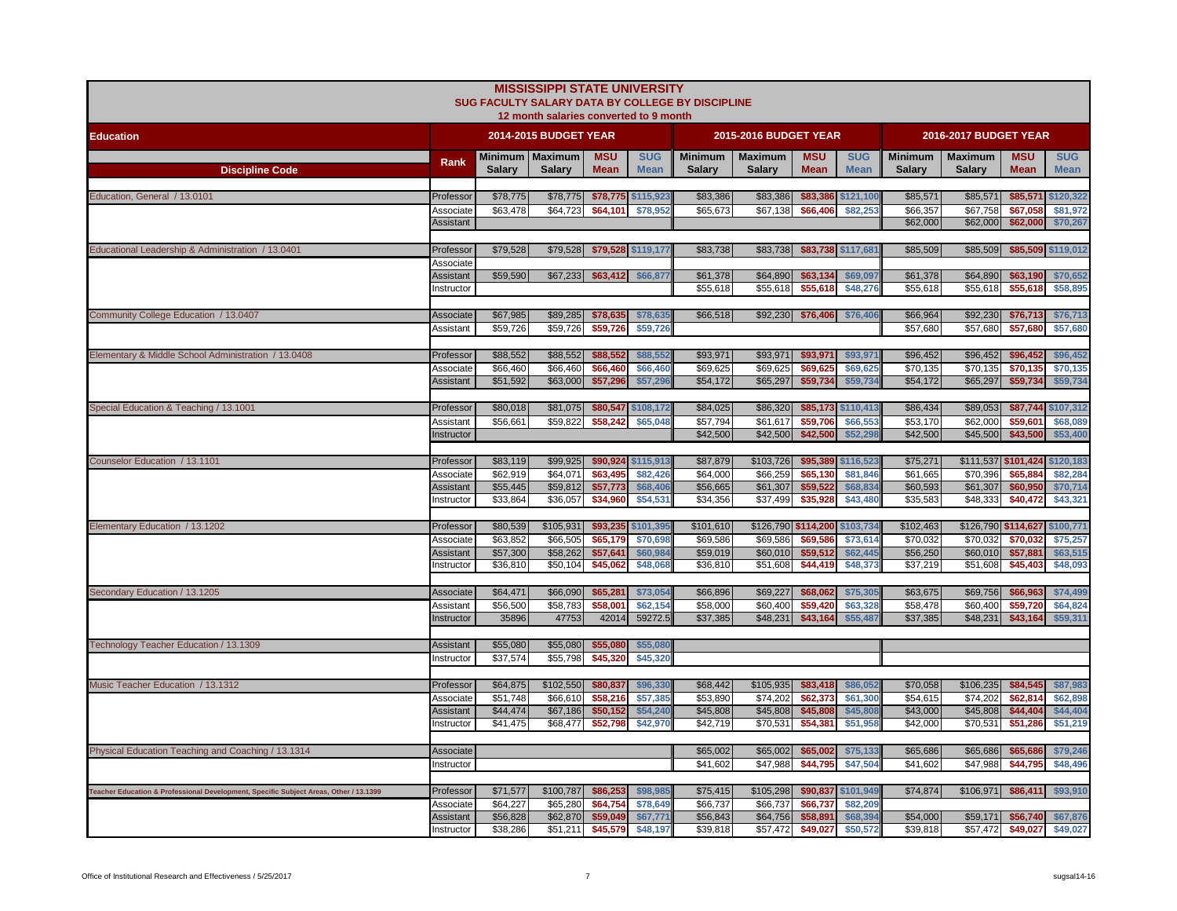|                                                                                       |                        |                      | <b>MISSISSIPPI STATE UNIVERSITY</b><br>12 month salaries converted to 9 month |                           |                           | SUG FACULTY SALARY DATA BY COLLEGE BY DISCIPLINE |                                 |                           |                           |                                 |                                 |                           |                           |
|---------------------------------------------------------------------------------------|------------------------|----------------------|-------------------------------------------------------------------------------|---------------------------|---------------------------|--------------------------------------------------|---------------------------------|---------------------------|---------------------------|---------------------------------|---------------------------------|---------------------------|---------------------------|
| <b>Education</b>                                                                      |                        |                      | 2014-2015 BUDGET YEAR                                                         |                           |                           |                                                  | 2015-2016 BUDGET YEAR           |                           |                           |                                 | 2016-2017 BUDGET YEAR           |                           |                           |
| <b>Discipline Code</b>                                                                | Rank                   | <b>Salary</b>        | Minimum   Maximum<br><b>Salary</b>                                            | <b>MSU</b><br><b>Mean</b> | <b>SUG</b><br><b>Mean</b> | <b>Minimum</b><br><b>Salary</b>                  | <b>Maximum</b><br><b>Salary</b> | <b>MSU</b><br><b>Mean</b> | <b>SUG</b><br><b>Mean</b> | <b>Minimum</b><br><b>Salary</b> | <b>Maximum</b><br><b>Salary</b> | <b>MSU</b><br><b>Mean</b> | <b>SUG</b><br><b>Mean</b> |
|                                                                                       |                        |                      |                                                                               |                           |                           |                                                  |                                 |                           |                           |                                 |                                 |                           |                           |
| Education, General / 13.0101                                                          | Professor<br>Associate | \$78,775<br>\$63,478 | \$78,775<br>\$64,723                                                          | \$78,775<br>\$64,101      | \$115,923<br>\$78,952     | \$83,386<br>\$65,673                             | \$83,386<br>\$67,138            | \$83,386<br>\$66,406      | \$121,100<br>\$82,253     | \$85,571<br>\$66,357            | \$85,571<br>\$67,758            | \$85,571<br>\$67,058      | \$120,322<br>\$81,972     |
|                                                                                       | <b>Assistant</b>       |                      |                                                                               |                           |                           |                                                  |                                 |                           |                           | \$62,000                        | \$62,000                        | \$62,000                  | \$70,267                  |
| Educational Leadership & Administration / 13.0401                                     | Professor              | \$79,528             | \$79,528                                                                      |                           | \$79,528 \$119,177        | \$83,738                                         | \$83,738                        |                           | \$83,738 \$117,681        | \$85,509                        | \$85,509                        |                           | \$85,509 \$119,012        |
|                                                                                       | Associate              |                      |                                                                               |                           |                           |                                                  |                                 |                           |                           |                                 |                                 |                           |                           |
|                                                                                       | Assistant              | \$59,590             | \$67,233                                                                      | \$63,412 \$66,877         |                           | \$61,378                                         | \$64,890                        | \$63,134                  | \$69,097                  | \$61,378                        | \$64,890                        | \$63,190                  | \$70,652                  |
|                                                                                       | nstructor              |                      |                                                                               |                           |                           | \$55,618                                         | \$55,618                        | \$55,618                  | \$48,276                  | \$55,618                        | \$55,618                        | \$55,618                  | \$58,895                  |
| Community College Education / 13.0407                                                 | Associate              | \$67,985             | \$89,285                                                                      | \$78,635                  | \$78,635                  | \$66,518                                         | \$92,230                        | \$76,406                  | \$76,406                  | \$66,964                        | \$92,230                        | \$76,713                  | \$76,713                  |
|                                                                                       | Assistant              | \$59,726             | \$59,726                                                                      | \$59,726                  | \$59,726                  |                                                  |                                 |                           |                           | \$57,680                        | \$57,680                        | \$57,680                  | \$57,680                  |
| Elementary & Middle School Administration / 13.0408                                   | Professor              | \$88,552             | \$88,552                                                                      | \$88,552                  | \$88,552                  | \$93,971                                         | \$93,971                        | \$93,971                  | \$93,971                  | \$96,452                        | \$96,452                        | \$96,452                  | \$96,452                  |
|                                                                                       | Associate              | \$66,460             | \$66,460                                                                      | \$66,460                  | \$66,460                  | \$69,625                                         | \$69,625                        | \$69,625                  | \$69,625                  | \$70,135                        | \$70,135                        | \$70,135                  | \$70,135                  |
|                                                                                       | Assistant              | \$51,592             | \$63,000                                                                      | \$57,296                  | \$57,29                   | \$54,172                                         | \$65,297                        | \$59,734                  | \$59,734                  | \$54,172                        | \$65,297                        | \$59,734                  | \$59,734                  |
| Special Education & Teaching / 13.1001                                                | Professor              | \$80,018             | \$81,075                                                                      | \$80,547                  | \$108,172                 | \$84,025                                         | \$86,320                        |                           | \$85,173 \$110,413        | \$86,434                        | \$89,053                        | \$87,744                  | \$107,312                 |
|                                                                                       | Assistant              | \$56,661             | \$59,822                                                                      | \$58,242                  | \$65,048                  | \$57,794                                         | \$61,617                        | \$59,706                  | \$66,553                  | \$53,170                        | \$62,000                        | \$59,60                   | \$68,089                  |
|                                                                                       | nstructor              |                      |                                                                               |                           |                           | \$42,500                                         | \$42,500                        | \$42,500                  | \$52,298                  | \$42,500                        | \$45,500                        | \$43,500                  | \$53,400                  |
| Counselor Education / 13.1101                                                         | Professor              | \$83,119             | \$99,925                                                                      | \$90,924                  | \$115,913                 | \$87,879                                         | \$103,726                       | \$95,389                  | \$116,523                 | \$75,271                        | \$111,537 \$101,424             |                           | \$120,183                 |
|                                                                                       | Associate              | \$62,919             | \$64,071                                                                      | \$63,495                  | \$82,426                  | \$64,000                                         | \$66,259                        | \$65,130                  | \$81,846                  | \$61,665                        | \$70,396                        | \$65,884                  | \$82,284                  |
|                                                                                       | Assistant              | \$55,445<br>\$33,864 | \$59,812                                                                      | \$57,773                  | \$68,40<br>\$54,531       | \$56,665                                         | \$61,307                        | \$59,522<br>\$35,928      | \$68,834<br>\$43,480      | \$60,593<br>\$35,583            | \$61,307                        | \$60,950<br>\$40,472      | \$70,714<br>\$43,321      |
|                                                                                       | nstructor              |                      | \$36,057                                                                      | \$34,960                  |                           | \$34,356                                         | \$37,499                        |                           |                           |                                 | \$48,333                        |                           |                           |
| Elementary Education / 13.1202                                                        | Professor              | \$80,539             | \$105,931                                                                     | \$93,235                  | \$101,395                 | \$101,610                                        | \$126,790 \$114,200             |                           | \$103,734                 | \$102,463                       | \$126,790 \$114,627             |                           | \$100,771                 |
|                                                                                       | Associate              | \$63,852             | \$66,505                                                                      | \$65,179                  | \$70,698                  | \$69,586                                         | \$69,586                        | \$69,586                  | \$73,614                  | \$70,032                        | \$70,032                        | \$70.032                  | \$75,257                  |
|                                                                                       | Assistant<br>nstructor | \$57,300<br>\$36,810 | \$58,262<br>\$50,104                                                          | \$57,641<br>\$45,062      | \$60,98<br>\$48,068       | \$59,019<br>\$36,810                             | \$60,010<br>\$51,608            | \$59,512<br>\$44,419      | \$62,445<br>\$48,373      | \$56,250<br>\$37,219            | \$60,010<br>\$51,608            | \$57,881<br>\$45,403      | \$63,515<br>\$48,093      |
|                                                                                       |                        |                      |                                                                               |                           |                           |                                                  |                                 |                           |                           |                                 |                                 |                           |                           |
| Secondary Education / 13.1205                                                         | Associate              | \$64,471             | \$66,090                                                                      | \$65,281                  | \$73,054                  | \$66,896                                         | \$69,227                        | \$68,062                  | \$75,305                  | \$63,675                        | \$69,756                        | \$66,963                  | \$74,499                  |
|                                                                                       | Assistant              | \$56,500             | \$58,783                                                                      | \$58,001                  | \$62,154                  | \$58,000                                         | \$60,400                        | \$59,420                  | \$63,328                  | \$58,478                        | \$60,400                        | \$59,720                  | \$64,824                  |
|                                                                                       | Instructor             | 35896                | 47753                                                                         | 42014                     | 59272.5                   | \$37,385                                         | \$48,231                        | \$43,164                  | \$55,487                  | \$37,385                        | \$48,231                        | \$43,164                  | \$59,311                  |
| Technology Teacher Education / 13.1309                                                | Assistant              | \$55,080             | \$55,080                                                                      | \$55,080                  | \$55,080                  |                                                  |                                 |                           |                           |                                 |                                 |                           |                           |
|                                                                                       | nstructor              | \$37,574             | \$55.798                                                                      | \$45,320                  | \$45,320                  |                                                  |                                 |                           |                           |                                 |                                 |                           |                           |
| Music Teacher Education / 13.1312                                                     | Professor              | \$64,875             | \$102,550                                                                     | \$80,837                  | \$96,330                  | \$68,442                                         | \$105,935                       | \$83,418                  | \$86,052                  | \$70,058                        | \$106,235                       | \$84,545                  | \$87,983                  |
|                                                                                       | Associate              | \$51,748             | \$66,610                                                                      | \$58,216                  | \$57,385                  | \$53,890                                         | \$74,202                        | \$62,373                  | \$61,300                  | \$54,615                        | \$74,202                        | \$62,814                  | \$62,898                  |
|                                                                                       | Assistant              | \$44,474             | \$67,186                                                                      | \$50,152                  | \$54,24                   | \$45,808                                         | \$45,808                        | \$45,808                  | \$45,808                  | \$43,000                        | \$45,808                        | \$44,404                  | \$44,404                  |
|                                                                                       | nstructor              | \$41,475             | \$68,477                                                                      | \$52,798                  | \$42,970                  | \$42,719                                         | \$70,531                        | \$54,381                  | \$51,958                  | \$42,000                        | \$70,531                        | \$51,286                  | \$51,219                  |
| Physical Education Teaching and Coaching / 13.1314                                    | Associate              |                      |                                                                               |                           |                           | \$65,002                                         | \$65,002                        | \$65,002                  | \$75,133                  | \$65,686                        | \$65,686                        | \$65,686                  | \$79,246                  |
|                                                                                       | nstructor              |                      |                                                                               |                           |                           | \$41,602                                         | \$47,988                        | \$44,795                  | \$47,504                  | \$41,602                        | \$47,988                        | \$44,795                  | \$48,496                  |
|                                                                                       |                        |                      |                                                                               |                           |                           |                                                  |                                 |                           |                           |                                 |                                 |                           |                           |
| Teacher Education & Professional Development, Specific Subject Areas, Other / 13.1399 | Professor              | \$71,577             | \$100,787                                                                     | \$86,253                  | \$98,985                  | \$75,415                                         | \$105,298                       |                           | \$90,837 \$101,949        | \$74,874                        | \$106,971                       | \$86,411                  | \$93,910                  |
|                                                                                       | Associate<br>Assistant | \$64,227<br>\$56,828 | \$65,280<br>\$62,870                                                          | \$64,754<br>\$59,049      | \$78,649<br>\$67,77'      | \$66,737<br>\$56,843                             | \$66,737<br>\$64,756            | \$66,737<br>\$58,891      | \$82,209<br>\$68,394      | \$54,000                        | \$59,171                        | \$56,740                  | \$67,876                  |
|                                                                                       | Instructor             | \$38,286             | \$51,211                                                                      | \$45,579                  | \$48,197                  | \$39,818                                         | \$57,472                        | \$49,027                  | \$50,572                  | \$39,818                        | \$57,472                        | \$49,027                  | \$49,027                  |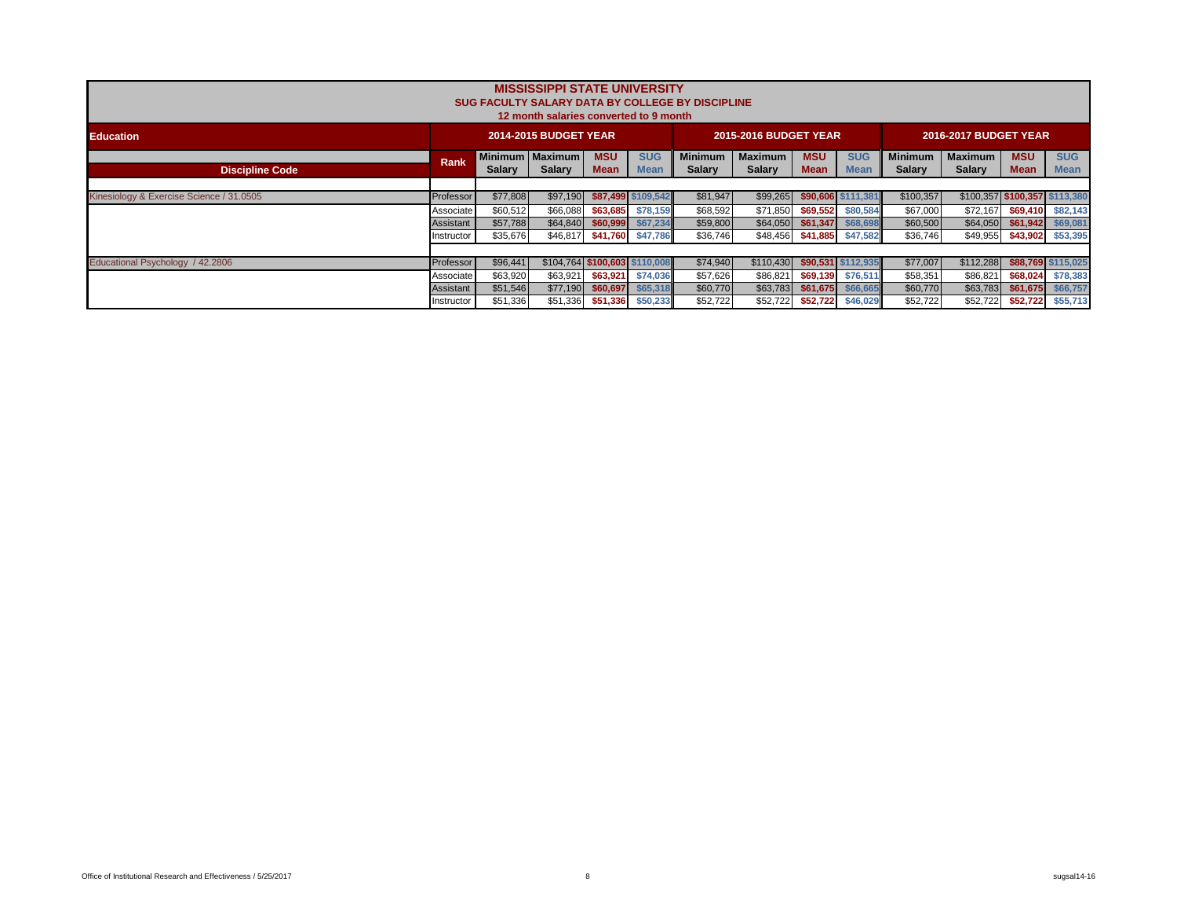|                                          |             |               | <b>MISSISSIPPI STATE UNIVERSITY</b><br>12 month salaries converted to 9 month |                           |                           | SUG FACULTY SALARY DATA BY COLLEGE BY DISCIPLINE |                                 |                           |                           |                                 |                                 |                               |                           |
|------------------------------------------|-------------|---------------|-------------------------------------------------------------------------------|---------------------------|---------------------------|--------------------------------------------------|---------------------------------|---------------------------|---------------------------|---------------------------------|---------------------------------|-------------------------------|---------------------------|
| <b>Education</b>                         |             |               | 2014-2015 BUDGET YEAR                                                         |                           |                           |                                                  | <b>2015-2016 BUDGET YEAR</b>    |                           |                           |                                 | <b>2016-2017 BUDGET YEAR</b>    |                               |                           |
| <b>Discipline Code</b>                   | <b>Rank</b> | <b>Salary</b> | Minimum   Maximum  <br><b>Salary</b>                                          | <b>MSU</b><br><b>Mean</b> | <b>SUG</b><br><b>Mean</b> | <b>Minimum</b><br><b>Salary</b>                  | <b>Maximum</b><br><b>Salary</b> | <b>MSU</b><br><b>Mean</b> | <b>SUG</b><br><b>Mean</b> | <b>Minimum</b><br><b>Salary</b> | <b>Maximum</b><br><b>Salary</b> | <b>MSU</b><br><b>Mean</b>     | <b>SUG</b><br><b>Mean</b> |
|                                          |             |               |                                                                               |                           |                           |                                                  |                                 |                           |                           |                                 |                                 |                               |                           |
| Kinesiology & Exercise Science / 31.0505 | Professor   | \$77,808      | \$97,190                                                                      |                           | \$87,499 \$109,542        | \$81,947                                         | \$99,265                        |                           | \$90,606 \$111,381        | \$100,357                       |                                 | \$100,357 \$100,357 \$113,380 |                           |
|                                          | Associate   | \$60,512      | \$66,088                                                                      |                           | \$63,685 \$78,159         | \$68,592                                         | \$71,850                        | \$69,552                  | \$80,584                  | \$67,000                        | \$72,167                        |                               | \$69,410 \$82,143         |
|                                          | Assistant   | \$57,788      | \$64,840                                                                      | \$60,999                  | \$67,234                  | \$59,800                                         | \$64,050                        | \$61,347                  | \$68,698                  | \$60,500                        | \$64,050                        | \$61,942                      | \$69,081                  |
|                                          | Instructor  | \$35,676      | \$46,817                                                                      |                           | \$41,760 \$47,786         | \$36,746                                         | \$48,456                        |                           | \$41,885 \$47,582         | \$36,746                        | \$49,955                        |                               | \$43,902 \$53,395         |
|                                          |             |               |                                                                               |                           |                           |                                                  |                                 |                           |                           |                                 |                                 |                               |                           |
| Educational Psychology / 42.2806         | Professor   | \$96,441      | \$104,764 \$100,603 \$110,008                                                 |                           |                           | \$74,940                                         | \$110,430                       |                           | \$90,531 \$112,935        | \$77,007                        | \$112,288                       |                               | \$88,769 \$115,025        |
|                                          | Associate   | \$63,920      | \$63,921                                                                      |                           | \$63,921 \$74,036         | \$57,626                                         | \$86,821                        | \$69.139                  | \$76,511                  | \$58,351                        | \$86,821                        | \$68,024                      | \$78,383                  |
|                                          | Assistant   | \$51,546      | \$77,190                                                                      | \$60,697                  | \$65,318                  | \$60,770                                         | \$63,783                        | \$61,675                  | \$66,665                  | \$60,770                        | \$63,783                        | \$61,675                      | \$66,757                  |
|                                          | Instructor  | \$51,336      | \$51,336                                                                      |                           | \$51,336 \$50,233         | \$52,722                                         | \$52,722                        | \$52,722                  | \$46,029                  | \$52,722                        | \$52,722                        | \$52,722                      | \$55,713                  |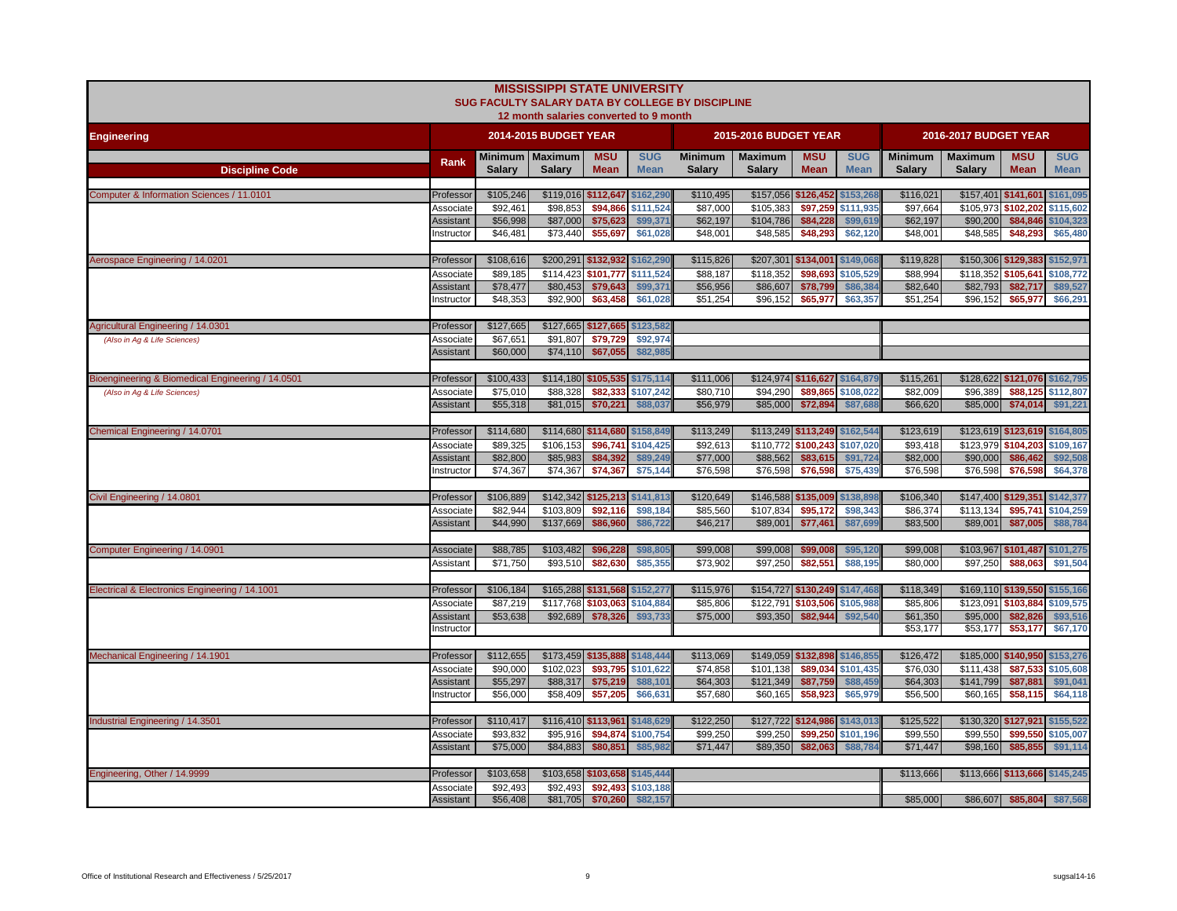|                                                   |                        |                       | <b>MISSISSIPPI STATE UNIVERSITY</b><br>12 month salaries converted to 9 month |                                 |                           | SUG FACULTY SALARY DATA BY COLLEGE BY DISCIPLINE |                                 |                                 |                           |                                 |                                 |                               |                           |
|---------------------------------------------------|------------------------|-----------------------|-------------------------------------------------------------------------------|---------------------------------|---------------------------|--------------------------------------------------|---------------------------------|---------------------------------|---------------------------|---------------------------------|---------------------------------|-------------------------------|---------------------------|
| <b>Engineering</b>                                |                        |                       | <b>2014-2015 BUDGET YEAR</b>                                                  |                                 |                           |                                                  | <b>2015-2016 BUDGET YEAR</b>    |                                 |                           |                                 | 2016-2017 BUDGET YEAR           |                               |                           |
| <b>Discipline Code</b>                            | Rank                   | <b>Salary</b>         | Minimum   Maximum<br>Salary                                                   | <b>MSU</b><br><b>Mean</b>       | <b>SUG</b><br><b>Mean</b> | <b>Minimum</b><br><b>Salary</b>                  | <b>Maximum</b><br><b>Salary</b> | <b>MSU</b><br><b>Mean</b>       | <b>SUG</b><br><b>Mean</b> | <b>Minimum</b><br><b>Salary</b> | <b>Maximum</b><br><b>Salarv</b> | <b>MSU</b><br><b>Mean</b>     | <b>SUG</b><br><b>Mean</b> |
| Computer & Information Sciences / 11.0101         | Professor              | \$105,246             |                                                                               | \$119,016 \$112,647 \$162,290   |                           | \$110,495                                        |                                 | \$157,056 \$126,452 \$153,268   |                           | \$116,021                       |                                 | $$157,401$ \$141,601          | \$161,095                 |
|                                                   | Associate              | \$92.461              | \$98,853                                                                      | \$94,866                        | \$111,524                 | \$87,000                                         | \$105,383                       | \$97,259                        | \$111,935                 | \$97,664                        | \$105,973                       | \$102.202                     | \$115,602                 |
|                                                   | Assistant<br>nstructor | \$56,998<br>\$46,481  | \$87,000<br>\$73,440                                                          | \$75,623<br>\$55,697            | \$99,371<br>\$61,028      | \$62,197<br>\$48,001                             | \$104,786<br>\$48,585           | \$84,228<br>\$48,293            | \$99,619<br>\$62,120      | \$62,197<br>\$48,001            | \$90,200<br>\$48,585            | \$84,846<br>\$48,293          | \$104,323<br>\$65,480     |
|                                                   |                        |                       |                                                                               |                                 |                           |                                                  |                                 |                                 |                           |                                 |                                 |                               |                           |
| Aerospace Engineering / 14.0201                   | Professor              | \$108,616             |                                                                               | \$200,291 \$132,932             | \$162,290                 | \$115,826                                        | \$207,301                       | \$134,001                       | \$149,068                 | \$119,828                       |                                 | \$150,306 \$129,383           | \$152,971                 |
|                                                   | Associate              | \$89,185              | \$114,423 \$101,777                                                           |                                 | \$111,524                 | \$88,187                                         | \$118,352                       | \$98,693                        | \$105,529                 | \$88,994                        |                                 | \$118,352 \$105,641           | \$108,772                 |
|                                                   | Assistant<br>nstructor | \$78,477<br>\$48,353  | \$80,453<br>\$92,900                                                          | \$79,643<br>\$63,458            | \$99,371<br>\$61,028      | \$56,956<br>\$51,254                             | \$86,607<br>\$96,152            | \$78,799<br>\$65,977            | \$86,384<br>\$63,357      | \$82,640<br>\$51,254            | \$82,793<br>\$96,152            | \$82,717<br>\$65,977          | \$89,527<br>\$66,291      |
|                                                   |                        |                       |                                                                               |                                 |                           |                                                  |                                 |                                 |                           |                                 |                                 |                               |                           |
| Agricultural Engineering / 14.0301                | Professor              | \$127,665             |                                                                               | \$127,665 \$127,665 \$123,582   |                           |                                                  |                                 |                                 |                           |                                 |                                 |                               |                           |
| (Also in Aq & Life Sciences)                      | Associate              | \$67.651              | \$91.807                                                                      | \$79,729                        | \$92.974                  |                                                  |                                 |                                 |                           |                                 |                                 |                               |                           |
|                                                   | Assistant              | \$60,000              | \$74,110                                                                      | \$67,055                        | \$82,98                   |                                                  |                                 |                                 |                           |                                 |                                 |                               |                           |
| Bioengineering & Biomedical Engineering / 14.0501 | Professor              | \$100,433             |                                                                               | \$114,180 \$105,535 \$175,114   |                           | \$111,006                                        |                                 | \$124,974 \$116,627 \$164,879   |                           | \$115,261                       |                                 | \$128,622 \$121,076           | \$162,795                 |
| (Also in Aq & Life Sciences)                      | Associate              | \$75,010              | \$88,328                                                                      | \$82.333                        | \$107.242                 | \$80,710                                         | \$94,290                        | \$89.865                        | \$108,022                 | \$82,009                        | \$96,389                        | \$88.125                      | \$112,807                 |
|                                                   | Assistant              | \$55,318              | \$81,015                                                                      | \$70,221                        | \$88,037                  | \$56,979                                         | \$85,000                        | \$72,894                        | \$87,688                  | \$66,620                        | \$85,000                        | \$74,014                      | \$91,221                  |
|                                                   |                        |                       |                                                                               |                                 |                           |                                                  |                                 |                                 |                           |                                 |                                 |                               |                           |
| Chemical Engineering / 14.0701                    | Professor              | \$114,680             |                                                                               | \$114,680 \$114,680 \$158,849   |                           | \$113,249                                        |                                 | \$113,249 \$113,249 \$162,544   |                           | \$123,619                       |                                 | \$123,619 \$123,619           | \$164,805                 |
|                                                   | Associate<br>Assistant | \$89.325<br>\$82,800  | \$106,153<br>\$85,983                                                         | \$96,741<br>\$84,392            | \$104.425<br>\$89,249     | \$92.613<br>\$77,000                             | \$88,562                        | \$110,772 \$100,243<br>\$83,615 | \$107,020<br>\$91,724     | \$93,418<br>\$82,000            | \$123.979<br>\$90,000           | \$104.203<br>\$86,462         | \$109,167<br>\$92,508     |
|                                                   | Instructor             | \$74,367              | \$74,367                                                                      | \$74,367                        | \$75,144                  | \$76,598                                         | \$76,598                        | \$76,598                        | \$75,439                  | \$76,598                        | \$76,598                        | \$76,598                      | \$64,378                  |
|                                                   |                        |                       |                                                                               |                                 |                           |                                                  |                                 |                                 |                           |                                 |                                 |                               |                           |
| Civil Engineering / 14.0801                       | Professor              | \$106,889             |                                                                               | \$142,342 \$125,213             | \$141,813                 | \$120,649                                        |                                 | \$146,588 \$135,009 \$138,898   |                           | \$106,340                       |                                 | \$147,400 \$129,351           | \$142,377                 |
|                                                   | Associate              | \$82,944              | \$103,809                                                                     | \$92,116                        | \$98,184                  | \$85,560                                         | \$107,834                       | \$95,172                        | \$98,343                  | \$86,374                        | \$113,134                       | \$95,741                      | \$104,259                 |
|                                                   | Assistant              | \$44,990              | \$137,669                                                                     | \$86,960                        | \$86,722                  | \$46,217                                         | \$89,001                        | \$77,461                        | \$87,699                  | \$83,500                        | \$89,001                        | \$87,005                      | \$88,784                  |
| Computer Engineering / 14.0901                    | Associate              | \$88,785              | \$103,482                                                                     | \$96,228                        | \$98,805                  | \$99,008                                         | \$99,008                        | \$99,008                        | \$95,120                  | \$99,008                        |                                 | \$103,967 \$101,487 \$101,275 |                           |
|                                                   | Assistant              | \$71,750              | \$93,510                                                                      | \$82,630                        | \$85,355                  | \$73,902                                         | \$97,250                        | \$82,551                        | \$88,195                  | \$80,000                        | \$97,250                        | \$88,063                      | \$91,504                  |
|                                                   |                        |                       |                                                                               |                                 |                           |                                                  |                                 |                                 |                           |                                 |                                 |                               |                           |
| Electrical & Electronics Engineering / 14.1001    | Professor              | \$106,184             |                                                                               | \$165,288 \$131,568 \$152,277   |                           | \$115,976                                        |                                 | \$154,727 \$130,249 \$147,468   |                           | \$118,349                       |                                 | \$169,110 \$139,550 \$155,166 |                           |
|                                                   | Associate<br>Assistant | \$87,219<br>\$53,638  | \$92,689                                                                      | \$117,768 \$103,063<br>\$78,326 | \$104,884<br>\$93,733     | \$85,806<br>\$75,000                             | \$122,791<br>\$93,350           | \$103,506<br>\$82,944           | \$105,988<br>\$92,540     | \$85,806<br>\$61,350            | \$123,091<br>\$95,000           | \$103,884<br>\$82,826         | \$109,575<br>\$93,516     |
|                                                   | Instructor             |                       |                                                                               |                                 |                           |                                                  |                                 |                                 |                           | \$53,177                        | \$53,177                        | \$53,177                      | \$67,170                  |
|                                                   |                        |                       |                                                                               |                                 |                           |                                                  |                                 |                                 |                           |                                 |                                 |                               |                           |
| Mechanical Engineering / 14.1901                  | Professor              | \$112,655             |                                                                               | \$173,459 \$135,888 \$148,444   |                           | \$113,069                                        |                                 | \$149,059 \$132,898 \$146,855   |                           | \$126,472                       |                                 | \$185,000 \$140,950           | \$153,276                 |
|                                                   | Associate              | \$90,000              | \$102,023                                                                     | \$93,795                        | \$101,622                 | \$74,858                                         | \$101,138                       | \$89,034                        | \$101,435                 | \$76,030                        | \$111,438                       | \$87,533                      | \$105,608                 |
|                                                   | Assistant<br>nstructor | \$55,297<br>\$56,000  | \$88,317<br>\$58,409                                                          | \$75,219<br>\$57,205            | \$88,101<br>\$66,631      | \$64,303<br>\$57,680                             | \$121,349<br>\$60,165           | \$87,759<br>\$58,923            | \$88,459<br>\$65,979      | \$64,303<br>\$56,500            | \$141,799<br>\$60,165           | \$87,881<br>\$58,115          | \$91,041<br>\$64,118      |
|                                                   |                        |                       |                                                                               |                                 |                           |                                                  |                                 |                                 |                           |                                 |                                 |                               |                           |
| Industrial Engineering / 14.3501                  | Professor              | \$110,417             | \$116,410 \$113,961                                                           |                                 | \$148,629                 | \$122,250                                        |                                 | \$127,722 \$124,986 \$143,013   |                           | \$125,522                       |                                 | $$130,320$ \$127,921          | \$155,522                 |
|                                                   | Associate              | \$93,832              | \$95,916                                                                      | \$94,874                        | \$100,754                 | \$99,250                                         | \$99,250                        | \$99,250                        | \$101,196                 | \$99,550                        | \$99,550                        | \$99,550                      | \$105,007                 |
|                                                   | Assistant              | \$75,000              | \$84,883                                                                      | \$80,851                        | \$85,982                  | \$71,447                                         | \$89,350                        | \$82,063                        | \$88,784                  | \$71,447                        | \$98,160                        | \$85,855                      | \$91,114                  |
|                                                   |                        |                       |                                                                               |                                 |                           |                                                  |                                 |                                 |                           |                                 |                                 |                               |                           |
| Engineering, Other / 14.9999                      | Professor<br>Associate | \$103,658<br>\$92,493 | \$92,493                                                                      | \$103,658 \$103,658 \$145,444   | \$92,493 \$103,188        |                                                  |                                 |                                 |                           | \$113,666                       |                                 | \$113,666 \$113,666 \$145,245 |                           |
|                                                   | <b>Assistant</b>       | \$56,408              | \$81,705                                                                      | \$70,260                        | \$82,157                  |                                                  |                                 |                                 |                           | \$85,000                        | \$86,607                        | \$85,804                      | \$87,568                  |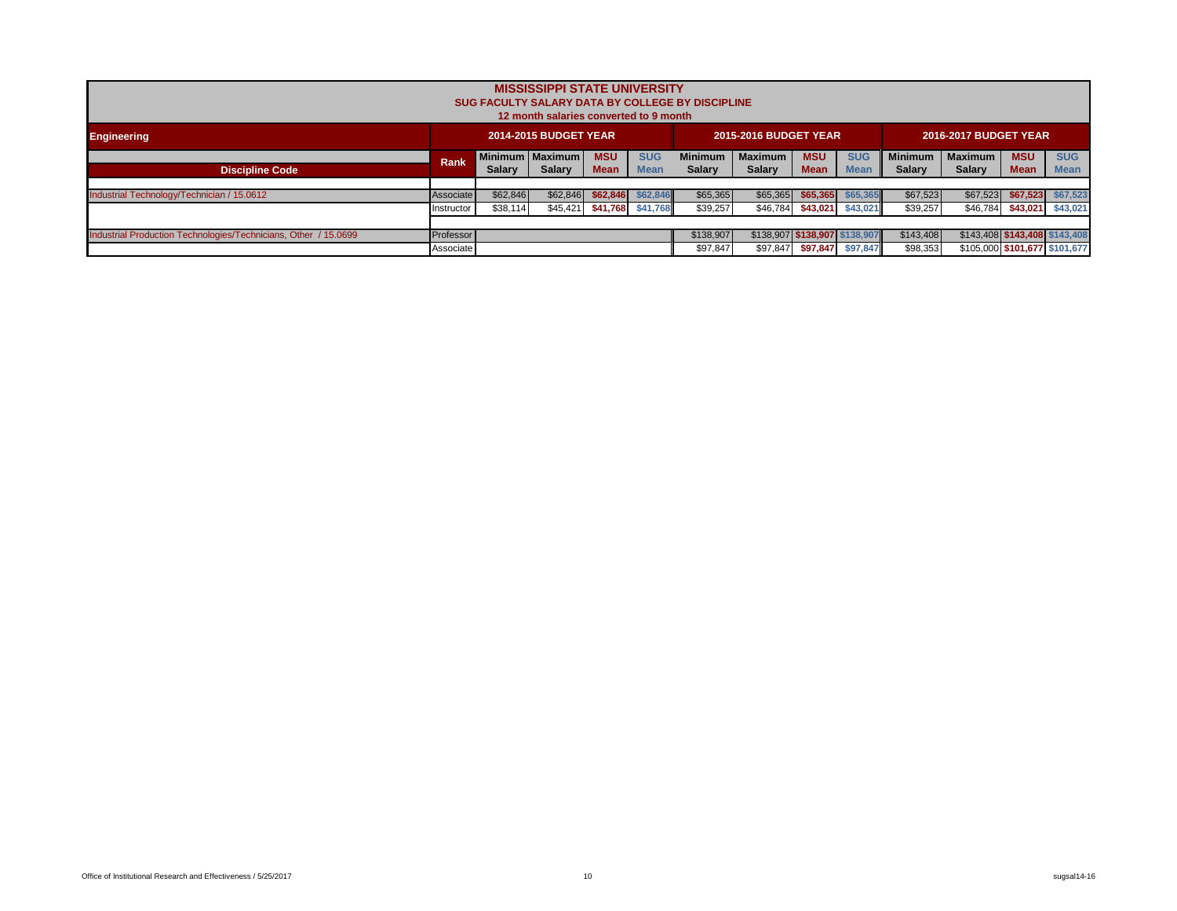|                                                                 |                                                                                     |          | <b>MISSISSIPPI STATE UNIVERSITY</b><br>12 month salaries converted to 9 month |            |                   | <b>SUG FACULTY SALARY DATA BY COLLEGE BY DISCIPLINE</b> |                              |                               |                   |                |                       |                               |                   |
|-----------------------------------------------------------------|-------------------------------------------------------------------------------------|----------|-------------------------------------------------------------------------------|------------|-------------------|---------------------------------------------------------|------------------------------|-------------------------------|-------------------|----------------|-----------------------|-------------------------------|-------------------|
| <b>Engineering</b>                                              |                                                                                     |          | <b>2014-2015 BUDGET YEAR</b>                                                  |            |                   |                                                         | <b>2015-2016 BUDGET YEAR</b> |                               |                   |                | 2016-2017 BUDGET YEAR |                               |                   |
|                                                                 | Rank                                                                                |          |                                                                               | <b>MSU</b> | <b>SUG</b>        | <b>Minimum</b><br><b>Salary</b>                         | <b>Maximum</b>               | <b>MSU</b>                    | <b>SUG</b>        | <b>Minimum</b> | <b>Maximum</b>        | <b>MSU</b>                    | <b>SUG</b>        |
| <b>Discipline Code</b>                                          | Minimum   Maximum  <br><b>Mean</b><br><b>Mean</b><br><b>Salary</b><br><b>Salary</b> |          |                                                                               |            |                   |                                                         | <b>Salary</b>                | <b>Mean</b>                   | <b>Mean</b>       | <b>Salary</b>  | <b>Salary</b>         | <b>Mean</b>                   | <b>Mean</b>       |
| Industrial Technology/Technician / 15.0612                      | Associate                                                                           | \$62,846 | \$62,846                                                                      | \$62,846   | \$62,846          | \$65,365                                                | \$65,365                     | \$65.365                      | \$65.365          | \$67,523       | \$67,523              | \$67,523                      | \$67,523          |
|                                                                 | Instructor                                                                          | \$38,114 | \$45,421                                                                      |            | \$41,768 \$41,768 | \$39,257                                                | \$46,784                     |                               | \$43,021 \$43,021 | \$39,257       | \$46,784              |                               | \$43,021 \$43,021 |
|                                                                 |                                                                                     |          |                                                                               |            |                   |                                                         |                              |                               |                   |                |                       |                               |                   |
| Industrial Production Technologies/Technicians, Other / 15.0699 | Professor                                                                           |          |                                                                               |            |                   | \$138,907                                               |                              | \$138.907 \$138.907 \$138.907 |                   | \$143.408      |                       | \$143,408 \$143,408 \$143,408 |                   |
|                                                                 | Associate                                                                           |          |                                                                               |            |                   | \$97,847                                                | \$97,847                     | \$97,847                      | \$97.847          | \$98,353       |                       | \$105,000 \$101,677 \$101,677 |                   |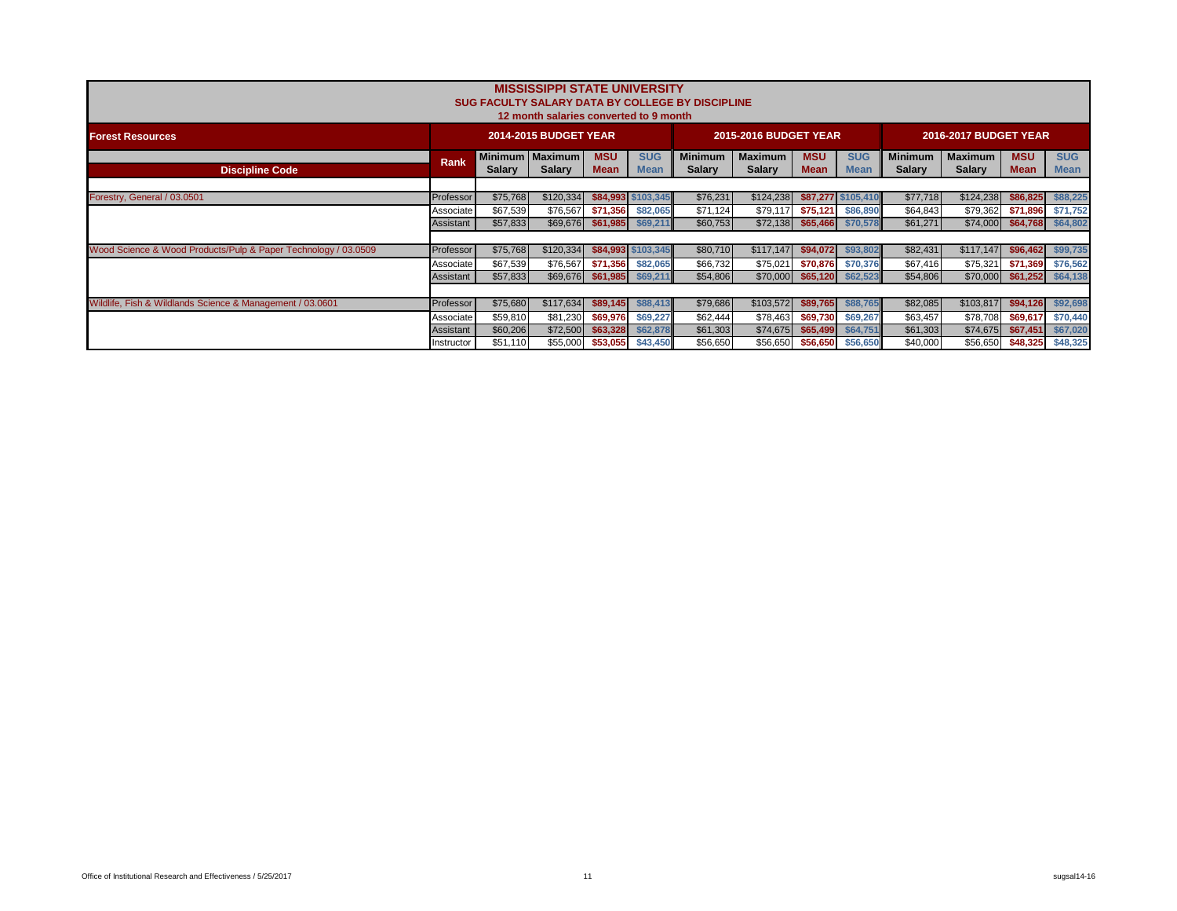|                                                                |                  |               | <b>MISSISSIPPI STATE UNIVERSITY</b><br>12 month salaries converted to 9 month |                    |                           | <b>SUG FACULTY SALARY DATA BY COLLEGE BY DISCIPLINE</b> |                                 |                     |                           |                                 |                                 |                            |                           |
|----------------------------------------------------------------|------------------|---------------|-------------------------------------------------------------------------------|--------------------|---------------------------|---------------------------------------------------------|---------------------------------|---------------------|---------------------------|---------------------------------|---------------------------------|----------------------------|---------------------------|
| <b>Forest Resources</b>                                        |                  |               | <b>2014-2015 BUDGET YEAR</b>                                                  |                    |                           |                                                         | <b>2015-2016 BUDGET YEAR</b>    |                     |                           |                                 | <b>2016-2017 BUDGET YEAR</b>    |                            |                           |
| <b>Discipline Code</b>                                         | <b>Rank</b>      | <b>Salary</b> | Minimum   Maximum<br>Salary                                                   | <b>MSU</b><br>Mean | <b>SUG</b><br><b>Mean</b> | <b>Minimum</b><br><b>Salary</b>                         | <b>Maximum</b><br><b>Salary</b> | <b>MSU</b><br>Mean  | <b>SUG</b><br><b>Mean</b> | <b>Minimum</b><br><b>Salary</b> | <b>Maximum</b><br><b>Salary</b> | <b>MSU</b><br><b>Mean</b>  | <b>SUG</b><br><b>Mean</b> |
|                                                                |                  |               |                                                                               |                    |                           |                                                         |                                 |                     |                           |                                 |                                 |                            |                           |
| Forestry, General / 03.0501                                    | Professor        | \$75,768      | \$120,334                                                                     |                    | \$84,993 \$103,345        | \$76,231                                                | \$124,238                       |                     | \$87.277 \$105.410        | \$77,718                        | \$124,238                       | \$86,825                   | \$88,225                  |
|                                                                | Associate        | \$67,539      | \$76,567                                                                      | \$71,356           | \$82,065                  | \$71,124                                                |                                 | $$79,117$ $$75,121$ | \$86,890                  | \$64,843                        | \$79,362                        | \$71,896                   | \$71,752                  |
|                                                                | Assistant        | \$57,833      | \$69,676                                                                      | \$61,985 \$69,211  |                           | \$60,753                                                |                                 | $$72,138$ \$65,466  | \$70,578                  | \$61,271                        |                                 | \$74,000 \$64,768 \$64,802 |                           |
|                                                                |                  |               |                                                                               |                    |                           |                                                         |                                 |                     |                           |                                 |                                 |                            |                           |
| Wood Science & Wood Products/Pulp & Paper Technology / 03.0509 | Professor        | \$75,768      | \$120,334                                                                     |                    | \$84,993 \$103,345        | \$80,710                                                | \$117,147                       | \$94.072            | \$93,802                  | \$82,431                        | \$117,147                       | \$96,462                   | \$99,735                  |
|                                                                | Associate        | \$67,539      | \$76,567                                                                      | \$71,356           | \$82,065                  | \$66,732                                                | \$75,021                        | \$70.876            | \$70,376                  | \$67,416                        | \$75,321                        | \$71,369                   | \$76,562                  |
|                                                                | <b>Assistant</b> | \$57,833      | \$69,676                                                                      |                    | \$61,985 \$69,211         | \$54,806                                                |                                 | $$70,000$ \$65,120  | \$62,523                  | \$54,806                        | \$70,000                        | \$61,252                   | \$64,138                  |
|                                                                |                  |               |                                                                               |                    |                           |                                                         |                                 |                     |                           |                                 |                                 |                            |                           |
| Wildlife, Fish & Wildlands Science & Management / 03.0601      | Professor        | \$75,680      | \$117,634                                                                     | \$89.145           | \$88,413                  | \$79,686                                                | \$103,572                       | \$89.765            | \$88,765                  | \$82,085                        | \$103,817                       | \$94.126                   | \$92,698                  |
|                                                                | Associate        | \$59,810      | \$81,230                                                                      |                    | \$69,976 \$69,227         | \$62,444                                                |                                 |                     |                           | \$63,457                        | \$78,708                        | \$69,617                   | \$70,440                  |
|                                                                | Assistant        | \$60,206      | \$72,500                                                                      | \$63,328           | \$62,878                  | \$61,303                                                | \$74,675                        | \$65,499            | \$64,751                  | \$61,303                        | \$74,675                        | \$67,451                   | \$67,020                  |
|                                                                | Instructor       | \$51,110      | \$55,000                                                                      | \$53,055           | \$43,450                  | \$56,650                                                | \$56,650                        | \$56,650            | \$56,650                  | \$40,000                        | \$56,650                        | \$48,325                   | \$48,325                  |